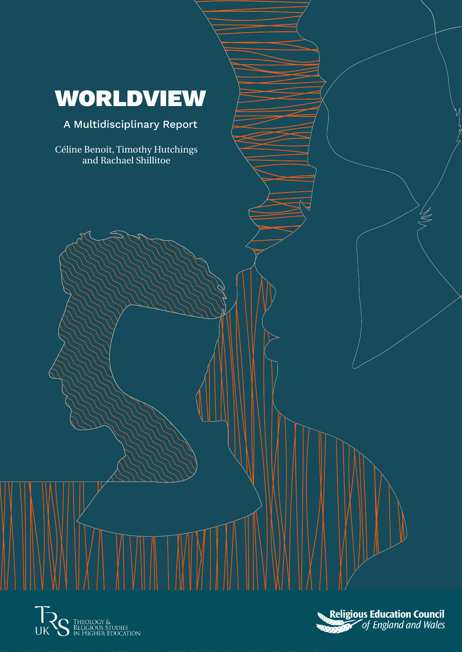## WORLDVIEW

### A Multidisciplinary Report

Céline Benoit, Timothy Hutchings and Rachael Shillitoe





 $\frac{1}{5}$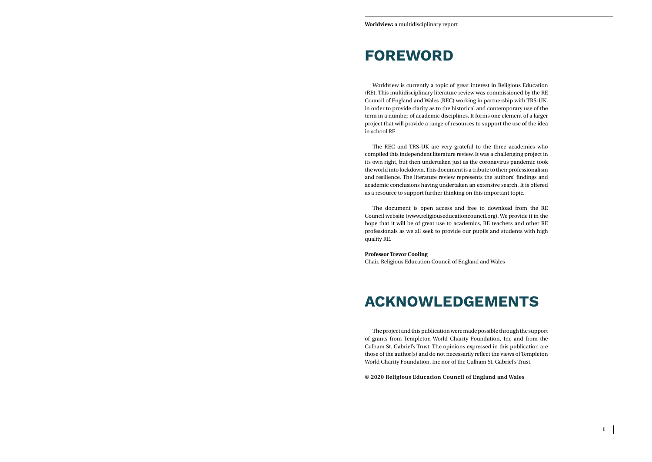### **FOREWORD**

Worldview is currently a topic of great interest in Religious Education (RE). This multidisciplinary literature review was commissioned by the RE Council of England and Wales (REC) working in partnership with TRS-UK. in order to provide clarity as to the historical and contemporary use of the term in a number of academic disciplines. It forms one element of a larger project that will provide a range of resources to support the use of the idea in school RE.

The REC and TRS-UK are very grateful to the three academics who compiled this independent literature review. It was a challenging project in its own right, but then undertaken just as the coronavirus pandemic took the world into lockdown. This document is a tribute to their professionalism and resilience. The literature review represents the authors' findings and academic conclusions having undertaken an extensive search. It is offered as a resource to support further thinking on this important topic.

The document is open access and free to download from the RE Council website (www.religiouseducationcouncil.org). We provide it in the hope that it will be of great use to academics, RE teachers and other RE professionals as we all seek to provide our pupils and students with high quality RE.

#### **Professor Trevor Cooling**

Chair, Religious Education Council of England and Wales

### **ACKNOWLEDGEMENTS**

The project and this publication were made possible through the support of grants from Templeton World Charity Foundation, Inc and from the Culham St. Gabriel's Trust. The opinions expressed in this publication are those of the author(s) and do not necessarily reflect the views of Templeton World Charity Foundation, Inc nor of the Culham St. Gabriel's Trust.

**© 2020 Religious Education Council of England and Wales**

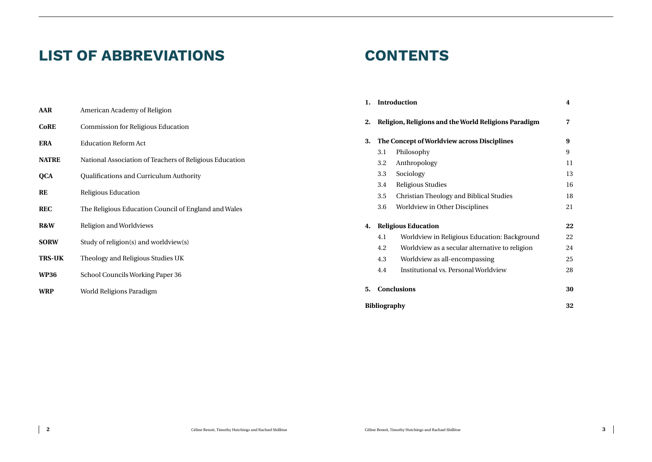| gions Paradigm  | 7  |
|-----------------|----|
| iplines         | 9  |
|                 | 9  |
|                 | 11 |
|                 | 13 |
|                 | 16 |
| studies         | 18 |
|                 | 21 |
|                 |    |
|                 | 22 |
| on: Background  | 22 |
| ive to religion | 24 |
| ζ               | 25 |
| view            | 28 |
|                 |    |
|                 | 30 |
|                 | 32 |

### **LIST OF ABBREVIATIONS**

### **CONTENTS**

|                                                      |                                                         |    |                                                       | <b>Introduction</b>                                   | $\boldsymbol{4}$ |
|------------------------------------------------------|---------------------------------------------------------|----|-------------------------------------------------------|-------------------------------------------------------|------------------|
| <b>AAR</b>                                           | American Academy of Religion                            |    |                                                       |                                                       |                  |
| <b>CoRE</b>                                          | <b>Commission for Religious Education</b>               | 2. |                                                       | Religion, Religions and the World Religions Paradigm  |                  |
| <b>ERA</b>                                           | <b>Education Reform Act</b>                             | 3. |                                                       | The Concept of Worldview across Disciplines           | 9                |
| <b>NATRE</b>                                         | National Association of Teachers of Religious Education |    |                                                       | Philosophy<br>3.1                                     | 9                |
|                                                      |                                                         |    |                                                       | 3.2<br>Anthropology                                   | 11               |
| <b>QCA</b>                                           | Qualifications and Curriculum Authority                 |    |                                                       | 3.3<br>Sociology                                      | 13               |
| <b>RE</b><br>Religious Education                     |                                                         |    | <b>Religious Studies</b><br>3.4                       | 16                                                    |                  |
|                                                      |                                                         |    | <b>Christian Theology and Biblical Studies</b><br>3.5 | 18                                                    |                  |
| <b>REC</b>                                           | The Religious Education Council of England and Wales    |    |                                                       | <b>Worldview in Other Disciplines</b><br>3.6          | 21               |
| R&W                                                  | Religion and Worldviews                                 | 4. |                                                       | <b>Religious Education</b>                            |                  |
| Study of religion(s) and worldview(s)<br><b>SORW</b> |                                                         |    |                                                       | Worldview in Religious Education: Background<br>4.1   | 22               |
|                                                      |                                                         |    |                                                       | 4.2<br>Worldview as a secular alternative to religion | 24               |
| <b>TRS-UK</b>                                        | Theology and Religious Studies UK                       |    |                                                       | 4.3<br>Worldview as all-encompassing                  | 25               |
| <b>WP36</b>                                          | School Councils Working Paper 36                        |    |                                                       | <b>Institutional vs. Personal Worldview</b><br>4.4    | 28               |
| <b>WRP</b>                                           | World Religions Paradigm                                | 5. |                                                       | <b>Conclusions</b>                                    | 30               |
|                                                      |                                                         |    | <b>Bibliography</b>                                   |                                                       | 32               |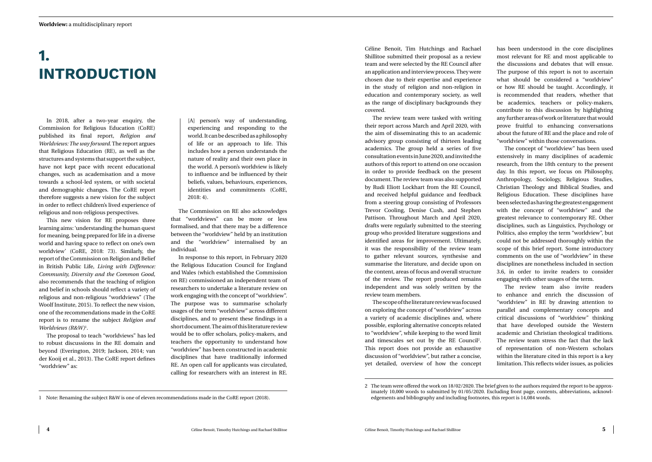Céline Benoit, Tim Hutchings and Rachael Shillitoe submitted their proposal as a review team and were selected by the RE Council after an application and interview process. They were chosen due to their expertise and experience in the study of religion and non-religion in education and contemporary society, as well as the range of disciplinary backgrounds they covered.

The review team were tasked with writing their report across March and April 2020, with the aim of disseminating this to an academic advisory group consisting of thirteen leading academics. The group held a series of five consultation events in June 2020, and invited the authors of this report to attend on one occasion in order to provide feedback on the present document. The review team was also supported by Rudi Eliott Lockhart from the RE Council, and received helpful guidance and feedback from a steering group consisting of Professors Trevor Cooling, Denise Cush, and Stephen Pattison. Throughout March and April 2020, drafts were regularly submitted to the steering group who provided literature suggestions and identified areas for improvement. Ultimately, it was the responsibility of the review team to gather relevant sources, synthesise and summarise the literature, and decide upon on the content, areas of focus and overall structure of the review. The report produced remains independent and was solely written by the review team members.

The scope of the literature review was focused on exploring the concept of "worldview" across a variety of academic disciplines and, where possible, exploring alternative concepts related to "worldview", while keeping to the word limit and timescales set out by the RE Council<sup>2</sup>. This report does not provide an exhaustive discussion of "worldview", but rather a concise, yet detailed, overview of how the concept

has been understood in the core disciplines most relevant for RE and most applicable to the discussions and debates that will ensue. The purpose of this report is not to ascertain what should be considered a "worldview" or how RE should be taught. Accordingly, it is recommended that readers, whether that be academics, teachers or policy-makers, contribute to this discussion by highlighting any further areas of work or literature that would prove fruitful to enhancing conversations about the future of RE and the place and role of "worldview" within those conversations.

The concept of "worldview" has been used extensively in many disciplines of academic research, from the 18th century to the present day. In this report, we focus on Philosophy, Anthropology, Sociology, Religious Studies, Christian Theology and Biblical Studies, and Religious Education. These disciplines have been selected as having the greatest engagement with the concept of "worldview" and the greatest relevance to contemporary RE. Other disciplines, such as Linguistics, Psychology or Politics, also employ the term "worldview", but could not be addressed thoroughly within the scope of this brief report. Some introductory comments on the use of "worldview" in these disciplines are nonetheless included in section 3.6, in order to invite readers to consider engaging with other usages of the term.

The review team also invite readers to enhance and enrich the discussion of "worldview" in RE by drawing attention to parallel and complementary concepts and critical discussions of "worldview" thinking that have developed outside the Western academic and Christian theological traditions. The review team stress the fact that the lack of representation of non-Western scholars within the literature cited in this report is a key limitation. This reflects wider issues, as policies

## <span id="page-3-0"></span>**1. INTRODUCTION**

In 2018, after a two-year enquiry, the Commission for Religious Education (CoRE) published its final report, *Religion and Worldviews: The way forward.* The report argues that Religious Education (RE), as well as the structures and systems that support the subject, have not kept pace with recent educational changes, such as academisation and a move towards a school-led system, or with societal and demographic changes. The CoRE report therefore suggests a new vision for the subject in order to reflect children's lived experience of religious and non-religious perspectives.

This new vision for RE proposes three learning aims: 'understanding the human quest for meaning, being prepared for life in a diverse world and having space to reflect on one's own worldview' (CoRE, 2018: 73). Similarly, the report of the Commission on Religion and Belief in British Public Life, *Living with Difference: Community, Diversity and the Common Good,* also recommends that the teaching of religion and belief in schools should reflect a variety of religious and non-religious "worldviews" (The Woolf Institute, 2015). To reflect the new vision, one of the recommendations made in the CoRE report is to rename the subject *Religion and Worldviews (R&W)*<sup>1</sup> *.*

The proposal to teach "worldviews" has led to robust discussions in the RE domain and beyond (Everington, 2019; Jackson, 2014; van der Kooij et al., 2013). The CoRE report defines "worldview" as:

[A] person's way of understanding, experiencing and responding to the world. It can be described as a philosophy of life or an approach to life. This includes how a person understands the nature of reality and their own place in the world. A person's worldview is likely to influence and be influenced by their beliefs, values, behaviours, experiences, identities and commitments (CoRE, 2018: 4).

The Commission on RE also acknowledges that "worldviews" can be more or less formalised, and that there may be a difference between the "worldview" held by an institution and the "worldview" internalised by an individual.

In response to this report, in February 2020 the Religious Education Council for England and Wales (which established the Commission on RE) commissioned an independent team of researchers to undertake a literature review on work engaging with the concept of "worldview". The purpose was to summarise scholarly usages of the term "worldview" across different disciplines, and to present these findings in a short document. The aim of this literature review would be to offer scholars, policy-makers, and teachers the opportunity to understand how "worldview" has been constructed in academic disciplines that have traditionally informed RE. An open call for applicants was circulated, calling for researchers with an interest in RE.

<sup>2</sup> The team were offered the work on 18/02/2020. The brief given to the authors required the report to be approximately 10,000 words to submitted by 01/05/2020. Excluding front page, contents, abbreviations, acknowledgements and bibliography and including footnotes, this report is 14,084 words.

<sup>1</sup> Note: Renaming the subject R&W is one of eleven recommendations made in the CoRE report (2018).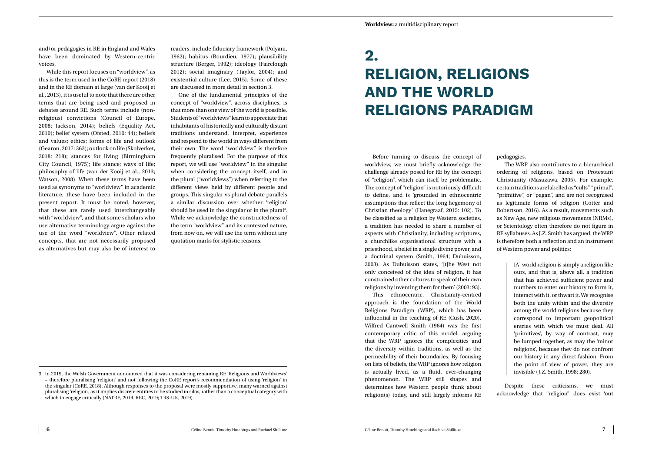## **2. RELIGION, RELIGIONS AND THE WORLD RELIGIONS PARADIGM**

Before turning to discuss the concept of worldview, we must briefly acknowledge the challenge already posed for RE by the concept of "religion", which can itself be problematic. The concept of "religion" is notoriously difficult to define, and is 'grounded in ethnocentric assumptions that reflect the long hegemony of Christian theology' (Hanegraaf, 2015: 102). To be classified as a religion by Western societies, a tradition has needed to share a number of aspects with Christianity, including scriptures, a churchlike organisational structure with a priesthood, a belief in a single divine power, and a doctrinal system (Smith, 1964; Dubuisson, 2003). As Dubuisson states, '[t]he West not only conceived of the idea of religion, it has constrained other cultures to speak of their own religions by inventing them for them' (2003: 93).

This ethnocentric, Christianity-centred approach is the foundation of the World Religions Paradigm (WRP), which has been influential in the teaching of RE (Cush, 2020). Wilfred Cantwell Smith (1964) was the first contemporary critic of this model, arguing that the WRP ignores the complexities and the diversity within traditions, as well as the permeability of their boundaries. By focusing on lists of beliefs, the WRP ignores how religion is actually lived, as a fluid, ever-changing phenomenon. The WRP still shapes and determines how Western people think about religion(s) today, and still largely informs RE

pedagogies.

The WRP also contributes to a hierarchical ordering of religions, based on Protestant Christianity (Masuzawa, 2005). For example, certain traditions are labelled as "cults", "primal", "primitive", or "pagan", and are not recognised as legitimate forms of religion (Cotter and Robertson, 2016). As a result, movements such as New Age, new religious movements (NRMs), or Scientology often therefore do not figure in RE syllabuses. As J.Z. Smith has argued, the WRP is therefore both a reflection and an instrument of Western power and politics:

> [A] world religion is simply a religion like ours, and that is, above all, a tradition that has achieved sufficient power and numbers to enter our history to form it, interact with it, or thwart it. We recognise both the unity within and the diversity among the world religions because they correspond to important geopolitical entries with which we must deal. All 'primitives', by way of contrast, may be lumped together, as may the 'minor religions', because they do not confront our history in any direct fashion. From the point of view of power, they are invisible (J.Z. Smith, 1998: 280).

Despite these criticisms, we must acknowledge that "religion" does exist 'out

<span id="page-4-0"></span>and/or pedagogies in RE in England and Wales have been dominated by Western-centric voices.

While this report focuses on "worldview", as this is the term used in the CoRE report (2018) and in the RE domain at large (van der Kooij et al., 2013), it is useful to note that there are other terms that are being used and proposed in debates around RE. Such terms include (nonreligious) convictions (Council of Europe, 2008; Jackson, 2014); beliefs (Equality Act, 2010); belief system (Ofsted, 2010: 44); beliefs and values; ethics; forms of life and outlook (Gearon, 2017: 363); outlook on life (Skolverket, 2018: 218); stances for living (Birmingham City Council, 1975); life stance; ways of life; philosophy of life (van der Kooij et al., 2013; Watson, 2008). When these terms have been used as synonyms to "worldview" in academic literature, these have been included in the present report. It must be noted, however, that these are rarely used interchangeably with "worldview", and that some scholars who use alternative terminology argue against the use of the word "worldview". Other related concepts, that are not necessarily proposed as alternatives but may also be of interest to

readers, include fiduciary framework (Polyani, 1962); habitus (Bourdieu, 1977); plausibility structure (Berger, 1992); ideology (Fairclough 2012); social imaginary (Taylor, 2004); and existential culture (Lee, 2015). Some of these are discussed in more detail in section 3.

One of the fundamental principles of the concept of "worldview", across disciplines, is that more than one view of the world is possible. Students of "worldviews" learn to appreciate that inhabitants of historically and culturally distant traditions understand, interpret, experience and respond to the world in ways different from their own. The word "worldview" is therefore frequently pluralised. For the purpose of this report, we will use "worldview" in the singular when considering the concept itself, and in the plural ("worldviews") when referring to the different views held by different people and groups. This singular vs plural debate parallels a similar discussion over whether 'religion' should be used in the singular or in the plural<sup>3</sup>. While we acknowledge the constructedness of the term "worldview" and its contested nature, from now on, we will use the term without any quotation marks for stylistic reasons.

<sup>3</sup> In 2019, the Welsh Government announced that it was considering renaming RE 'Religions and Worldviews' – therefore pluralising 'religion' and not following the CoRE report's recommendation of using 'religion' in the singular (CoRE, 2018). Although responses to the proposal were mostly supportive, many warned against pluralising 'religion', as it implies discrete entities to be studied in silos, rather than a conceptual category with which to engage critically (NATRE, 2019. REC, 2019; TRS-UK, 2019).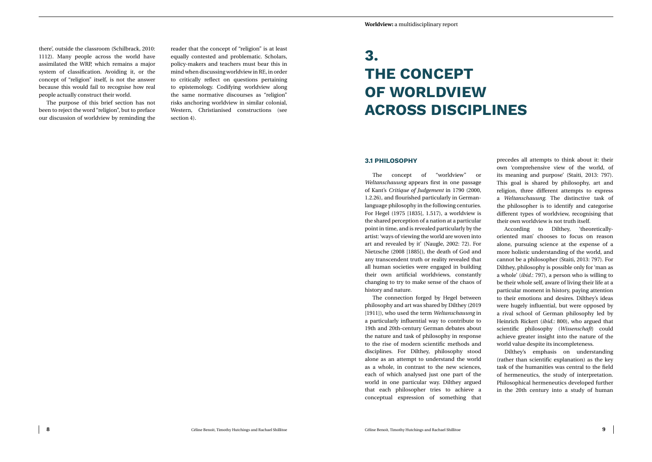### **3. THE CONCEPT OF WORLDVIEW ACROSS DISCIPLINES**

#### **3.1 PHILOSOPHY**

The concept of "worldview" or *Weltanschauung* appears first in one passage of Kant's *Critique of Judgement* in 1790 (2000, 1.2.26), and flourished particularly in Germanlanguage philosophy in the following centuries. For Hegel (1975 [1835], 1.517), a worldview is the shared perception of a nation at a particular point in time, and is revealed particularly by the artist: 'ways of viewing the world are woven into art and revealed by it' (Naugle, 2002: 72). For Nietzsche (2008 [1885]), the death of God and any transcendent truth or reality revealed that all human societies were engaged in building their own artificial worldviews, constantly changing to try to make sense of the chaos of history and nature.

The connection forged by Hegel between philosophy and art was shared by Dilthey (2019 [1911]), who used the term *Weltanschauung* in a particularly influential way to contribute to 19th and 20th-century German debates about the nature and task of philosophy in response to the rise of modern scientific methods and disciplines. For Dilthey, philosophy stood alone as an attempt to understand the world as a whole, in contrast to the new sciences, each of which analysed just one part of the world in one particular way. Dilthey argued that each philosopher tries to achieve a conceptual expression of something that



precedes all attempts to think about it: their own 'comprehensive view of the world, of its meaning and purpose' (Staiti, 2013: 797). This goal is shared by philosophy, art and religion, three different attempts to express a *Weltanschauung*. The distinctive task of the philosopher is to identify and categorise different types of worldview, recognising that their own worldview is not truth itself.

According to Dilthey, 'theoreticallyoriented man' chooses to focus on reason alone, pursuing science at the expense of a more holistic understanding of the world, and cannot be a philosopher (Staiti, 2013: 797). For Dilthey, philosophy is possible only for 'man as a whole' (*ibid.*: 797), a person who is willing to be their whole self, aware of living their life at a particular moment in history, paying attention to their emotions and desires. Dilthey's ideas were hugely influential, but were opposed by a rival school of German philosophy led by Heinrich Rickert (*ibid.*: 800), who argued that scientific philosophy (*Wissenschaft*) could achieve greater insight into the nature of the world value despite its incompleteness.

Dilthey's emphasis on understanding (rather than scientific explanation) as the key task of the humanities was central to the field of hermeneutics, the study of interpretation. Philosophical hermeneutics developed further in the 20th century into a study of human

<span id="page-5-0"></span>there', outside the classroom (Schilbrack, 2010: 1112). Many people across the world have assimilated the WRP, which remains a major system of classification. Avoiding it, or the concept of "religion" itself, is not the answer because this would fail to recognise how real people actually construct their world.

The purpose of this brief section has not been to reject the word "religion", but to preface our discussion of worldview by reminding the reader that the concept of "religion" is at least equally contested and problematic. Scholars, policy-makers and teachers must bear this in mind when discussing worldview in RE, in order to critically reflect on questions pertaining to epistemology. Codifying worldview along the same normative discourses as "religion" risks anchoring worldview in similar colonial, Western, Christianised constructions (see section 4).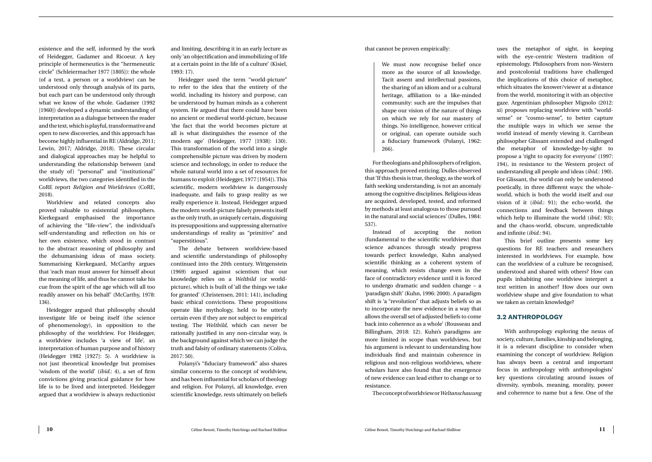that cannot be proven empirically:

We must now recognise belief once more as the source of all knowledge. Tacit assent and intellectual passions, the sharing of an idiom and or a cultural heritage, affiliation to a like-minded community: such are the impulses that shape our vision of the nature of things on which we rely for our mastery of things. No intelligence, however critical or original, can operate outside such a fiduciary framework (Polanyi, 1962: 266).

For theologians and philosophers of religion, this approach proved enticing. Dulles observed that 'If this thesis is true, theology, as the work of faith seeking understanding, is not an anomaly among the cognitive disciplines. Religious ideas are acquired, developed, tested, and reformed by methods at least analogous to those pursued in the natural and social sciences' (Dulles, 1984: 537).

Instead of accepting the notion (fundamental to the scientific worldview) that science advances through steady progress towards perfect knowledge, Kuhn analysed scientific thinking as a coherent system of meaning, which resists change even in the face of contradictory evidence until it is forced to undergo dramatic and sudden change – a 'paradigm shift' (Kuhn, 1996: 2000). A paradigm shift is 'a "revolution" that adjusts beliefs so as to incorporate the new evidence in a way that allows the overall set of adjusted beliefs to come back into coherence as a whole' (Rousseau and Billingham, 2018: 12). Kuhn's paradigms are more limited in scope than worldviews, but his argument is relevant to understanding how individuals find and maintain coherence in religious and non-religious worldviews, where scholars have also found that the emergence of new evidence can lead either to change or to resistance.

The concept of worldview or *Weltanschauung*

uses the metaphor of sight, in keeping with the eye-centric Western tradition of epistemology. Philosophers from non-Western and postcolonial traditions have challenged the implications of this choice of metaphor, which situates the knower/viewer at a distance from the world, monitoring it with an objective gaze. Argentinian philosopher Mignolo (2012: xi) proposes replacing worldview with "worldsense" or "cosmo-sense", to better capture the multiple ways in which we sense the world instead of merely viewing it. Carribean philosopher Glissant extended and challenged the metaphor of knowledge-by-sight to propose a 'right to opacity for everyone' (1997: 194), in resistance to the Western project of understanding all people and ideas (*ibid.*: 190). For Glissant, the world can only be understood poetically, in three different ways: the wholeworld, which is both the world itself and our vision of it (*ibid.*: 91); the echo-world, the connections and feedback between things which help to illuminate the world (*ibid.*: 93); and the chaos-world, obscure, unpredictable and infinite (*ibid.*: 94).

This brief outline presents some key questions for RE teachers and researchers interested in worldviews. For example, how can the worldview of a culture be recognised, understood and shared with others? How can pupils inhabiting one worldview interpret a text written in another? How does our own worldview shape and give foundation to what we taken as certain knowledge?

#### **3.2 ANTHROPOLOGY**

With anthropology exploring the nexus of society, culture, families, kinship and belonging, it is a relevant discipline to consider when examining the concept of worldview. Religion has always been a central and important focus in anthropology with anthropologists' key questions circulating around issues of diversity, symbols, meaning, morality, power and coherence to name but a few. One of the

<span id="page-6-0"></span>existence and the self, informed by the work of Heidegger, Gadamer and Ricoeur. A key principle of hermeneutics is the "hermeneutic circle" (Schleiermacher 1977 [1805]): the whole (of a text, a person or a worldview) can be understood only through analysis of its parts, but each part can be understood only through what we know of the whole. Gadamer (1992 [1960]) developed a dynamic understanding of interpretation as a dialogue between the reader and the text, which is playful, transformative and open to new discoveries, and this approach has become highly influential in RE (Aldridge, 2011; Lewin, 2017; Aldridge, 2018). These circular and dialogical approaches may be helpful to understanding the relationship between (and the study of) "personal" and "institutional" worldviews, the two categories identified in the CoRE report *Religion and Worldviews* (CoRE, 2018).

Worldview and related concepts also proved valuable to existential philosophers. Kierkegaard emphasised the importance of achieving the "life-view", the individual's self-understanding and reflection on his or her own existence, which stood in contrast to the abstract reasoning of philosophy and the dehumanising ideas of mass society. Summarising Kierkegaard, McCarthy argues that 'each man must answer for himself about the meaning of life, and thus he cannot take his cue from the spirit of the age which will all too readily answer on his behalf' (McCarthy, 1978: 136).

Heidegger argued that philosophy should investigate life or being itself (the science of phenomenology), in opposition to the philosophy of the worldview. For Heidegger, a worldview includes 'a view of life', an interpretation of human purpose and of history (Heidegger 1982 [1927]: 5). A worldview is not just theoretical knowledge but promises 'wisdom of the world' (*ibid.*: 4), a set of firm convictions giving practical guidance for how life is to be lived and interpreted. Heidegger argued that a worldview is always reductionist

and limiting, describing it in an early lecture as only 'an objectification and immobilizing of life at a certain point in the life of a culture' (Kisiel, 1993: 17).

Heidegger used the term "world-picture" to refer to the idea that the entirety of the world, including its history and purpose, can be understood by human minds as a coherent system. He argued that there could have been no ancient or medieval world-picture, because 'the fact that the world becomes picture at all is what distinguishes the essence of the modern age' (Heidegger, 1977 [1938]: 130). This transformation of the world into a single comprehensible picture was driven by modern science and technology, in order to reduce the whole natural world into a set of resources for humans to exploit (Heidegger, 1977 [1954]). This scientific, modern worldview is dangerously inadequate, and fails to grasp reality as we really experience it. Instead, Heidegger argued the modern world-picture falsely presents itself as the only truth, as uniquely certain, disguising its presuppositions and suppressing alternative understandings of reality as "primitive" and "superstitious".

The debate between worldview-based and scientific understandings of philosophy continued into the 20th century. Wittgenstein (1969) argued against scientism that our knowledge relies on a *Weltbild* (or worldpicture), which is built of 'all the things we take for granted' (Christensen, 2011: 141), including basic ethical convictions. These propositions operate like mythology, held to be utterly certain even if they are not subject to empirical testing. The *Weltbild*, which can never be rationally justified in any non-circular way, is the background against which we can judge the truth and falsity of ordinary statements (Coliva, 2017: 50).

Polanyi's "fiduciary framework" also shares similar concerns to the concept of worldview, and has been influential for scholars of theology and religion. For Polanyi, all knowledge, even scientific knowledge, rests ultimately on beliefs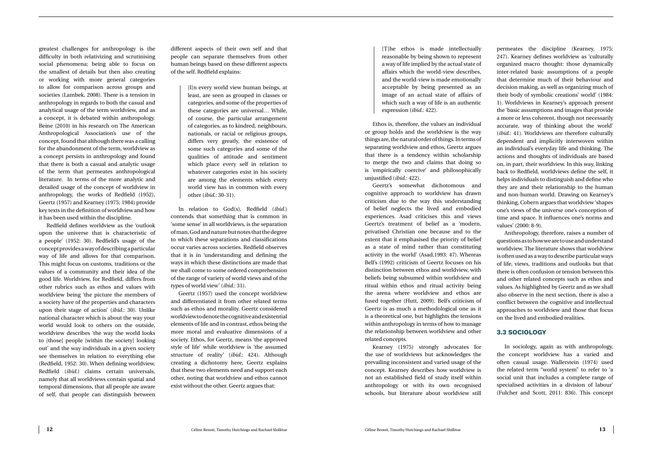[T]he ethos is made intellectually reasonable by being shown to represent a way of life implied by the actual state of affairs which the world-view describes, and the world-view is made emotionally acceptable by being presented as an image of an actual state of affairs of which such a way of life is an authentic expression (*ibid.*: 422).

Ethos is, therefore, the values an individual or group holds and the worldview is the way things are, the natural order of things. In terms of separating worldview and ethos, Geertz argues that there is a tendency within scholarship to merge the two and claims that doing so is 'empirically coercive' and philosophically unjustified (*ibid.*: 422).

Geertz's somewhat dichotomous and cognitive approach to worldview has drawn criticism due to the way this understanding of belief neglects the lived and embodied experiences. Asad criticises this and views Geertz's treatment of belief as a 'modern, privatised Christian one because and to the extent that it emphasised the priority of belief as a state of mind rather than constituting activity in the world' (Asad,1993: 47). Whereas Bell's (1992) criticism of Geertz focuses on his distinction between ethos and worldview, with beliefs being subsumed within worldview and ritual within ethos and ritual activity being the arena where worldview and ethos are fused together (Hutt, 2009). Bell's criticism of Geertz is as much a methodological one as it is a theoretical one, but highlights the tensions within anthropology in terms of how to manage the relationship between worldview and other related concepts.

Kearney (1975) strongly advocates for the use of worldviews but acknowledges the prevailing inconsistent and varied usage of the concept. Kearney describes how worldview is not an established field of study itself within anthropology or with its own recognised schools, but literature about worldview still

permeates the discipline (Kearney, 1975: 247). Kearney defines worldview as 'culturally organized macro thought: those dynamically inter-related basic assumptions of a people that determine much of their behaviour and decision making, as well as organizing much of their body of symbolic creations' world' (1984: 1). Worldviews in Kearney's approach present the 'basic assumptions and images that provide a more or less coherent, though not necessarily accurate, way of thinking about the world' (*ibid.*: 41). Worldviews are therefore culturally dependent and implicitly interwoven within an individual's everyday life and thinking. The actions and thoughts of individuals are based on, in part, their worldview. In this way, linking back to Redfield, worldviews define the self, it helps individuals to distinguish and define who they are and their relationship to the human and non-human world. Drawing on Kearney's thinking, Cobern argues that worldview 'shapes one's views of the universe one's conception of time and space. It influences one's norms and values' (2000: 8-9).

Anthropology, therefore, raises a number of questions as to how we are to use and understand worldview. The literature shows that worldview is often used as a way to describe particular ways of life, views, traditions and outlooks but that there is often confusion or tension between this and other related concepts such as ethos and values. As highlighted by Geertz and as we shall also observe in the next section, there is also a conflict between the cognitive and intellectual approaches to worldview and those that focus on the lived and embodied realities.

#### **3.3 SOCIOLOGY**

In sociology, again as with anthropology, the concept worldview has a varied and often casual usage. Wallerstein (1974) used the related term "world system" to refer to 'a social unit that includes a complete range of specialised activities in a division of labour' (Fulcher and Scott, 2011: 836). This concept

<span id="page-7-0"></span>greatest challenges for anthropology is the difficulty in both relativizing and scrutinising social phenomena; being able to focus on the smallest of details but then also creating or working with more general categories to allow for comparison across groups and societies (Lambek, 2008). There is a tension in anthropology in regards to both the casual and analytical usage of the term worldview, and as a concept, it is debated within anthropology. Beine (2010) in his research on The American Anthropological Association's use of the concept, found that although there was a calling for the abandonment of the term, worldview as a concept persists in anthropology and found that there is both a casual and analytic usage of the term that permeates anthropological literature. In terms of the more analytic and detailed usage of the concept of worldview in anthropology, the works of Redfield (1952), Geertz (1957) and Kearney (1975; 1984) provide key texts in the definition of worldview and how it has been used within the discipline.

Redfield defines worldview as the 'outlook upon the universe that is characteristic of a people' (1952: 30). Redfield's usage of the concept provides a way of describing a particular way of life and allows for that comparison. This might focus on customs, traditions or the values of a community and their idea of the good life. Worldview, for Redfield, differs from other rubrics such as ethos and values with worldview being 'the picture the members of a society have of the properties and characters upon their stage of action' (*ibid.*: 30). Unlike national character which is about the way your world would look to others on the outside, worldview describes 'the way the world looks to [those] people [within the society] looking out' and the way individuals in a given society see themselves in relation to everything else (Redfield, 1952: 30). When defining worldview, Redfield (*ibid.*) claims certain universals, namely that all worldviews contain spatial and temporal dimensions, that all people are aware of self, that people can distinguish between

different aspects of their own self and that people can separate themselves from other human beings based on these different aspects of the self. Redfield explains:

> [I]n every world view human beings, at least, are seen as grouped in classes or categories, and some of the properties of these categories are universal… While, of course, the particular arrangement of categories, as to kindred, neighbours, nationals, or racial or religious groups, differs very greatly, the existence of some such categories and some of the qualities of attitude and sentiment which place every self in relation to whatever categories exist in his society are among the elements which every world view has in common with every other (*ibid.*: 30-31).

In relation to God(s), Redfield (*ibid.*) contends that something that is common in 'some sense' in all worldviews, is the separation of man, God and nature but notes that the degree to which these separations and classifications occur varies across societies. Redfield observes that it is in 'understanding and defining the ways in which these distinctions are made that we shall come to some ordered comprehension of the range of variety of world views and of the types of world view' (*ibid.*: 31).

Geertz (1957) used the concept worldview and differentiated it from other related terms such as ethos and morality. Geertz considered worldview to denote the cognitive and existential elements of life and in contrast, ethos being the more moral and evaluative dimensions of a society. Ethos, for Geertz, means 'the approved style of life' while worldview is 'the assumed structure of reality' (*ibid.*: 424). Although creating a dichotomy here, Geertz explains that these two elements need and support each other, noting that worldview and ethos cannot exist without the other. Geertz argues that: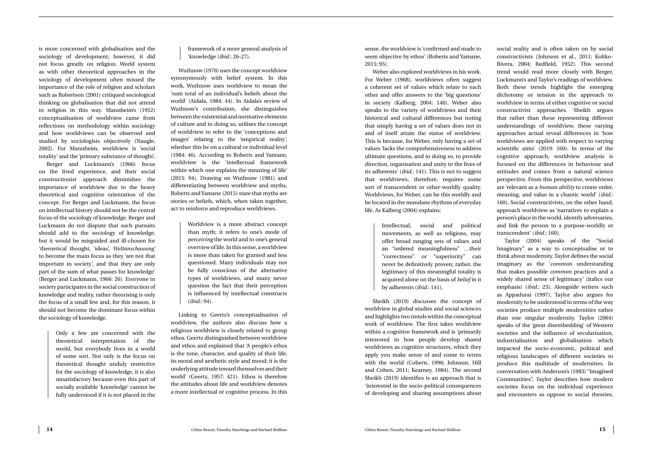sense, the worldview is 'confirmed and made to seem objective by ethos' (Roberts and Yamane, 2015: 95).

Weber also explored worldviews in his work. For Weber (1968), worldviews often suggest a coherent set of values which relate to each other and offer answers to the 'big questions' in society (Kalberg, 2004: 140). Weber also speaks to the variety of worldviews and their historical and cultural differences but noting that simply having a set of values does not in and of itself attain the status of worldview. This is because, for Weber, only having a set of values 'lacks the comprehensiveness to address ultimate questions, and in doing so, to provide direction, organisation and unity to the lives of its adherents' (*ibid.*: 141). This is not to suggest that worldviews, therefore, requires some sort of transcendent or other-worldly quality. Worldviews, for Weber, can be this worldly and be located in the mundane rhythms of everyday life. As Kalberg (2004) explains:

> Intellectual, social and political movements, as well as religions, may offer broad ranging sets of values and an "ordered meaningfulness" …their "correctness" or "superiority" can never be definitively proven; rather, the legitimacy of this meaningful totality is acquired alone on the basis of *belief* in it by adherents (*ibid.*: 141).

Sheikh (2019) discusses the concept of worldview in global studies and social sciences and highlights two trends within the conceptual work of worldview. The first takes worldview within a cognitive framework and is 'primarily interested in how people develop shared worldviews as cognitive structures, which they apply you make sense of and come to terms with the world (Cobern, 1996; Johnson, Hill and Cohen, 2011; Kearney, 1984). The second Sheikh (2019) identifies is an approach that is 'interested in the socio-political consequences of developing and sharing assumptions about

social reality and is often taken on by social constructivists (Johnson et al., 2011; Koltko-Rivera, 2004; Redfield, 1952). This second trend would read more closely with Berger, Luckmann's and Taylor's readings of worldview. Both these trends highlight the emerging dichotomy or tension in the approach to worldview in terms of either cognitive or social constructivist approaches. Sheikh argues that rather than these representing different understandings of worldview, these varying approaches actual reveal differences in 'how worldviews are applied with respect to varying scientific aims' (2019: 160). In terms of the cognitive approach, worldview analysis is focused on the differences in behaviour and attitudes and comes from a natural science perspective. From this perspective, worldviews are 'relevant as a *human ability* to create order, meaning, and value in a chaotic world' (*ibid.*: 160). Social constructivists, on the other hand, approach worldview as 'narratives to explain a person's place in the world, identify adversaries, and link the person to a purpose-worldly or transcendent' (*ibid.*: 160).

Taylor (2004) speaks of the "Social Imaginary" as a way to conceptualise or to think about modernity. Taylor defines the social imaginary as the '*common* understanding that makes possible *common* practices and a widely shared sense of legitimacy' (italics our emphasis) (*ibid.*: 23). Alongside writers such as Appadurai (1997), Taylor also argues for modernity to be understood in terms of the way societies produce multiple modernities rather than one singular modernity. Taylor (2004) speaks of the 'great disembedding' of Western societies and the influence of secularisation, industrialisation and globalisation which impacted the socio-economic, political and religious landscapes of different societies to produce this multitude of modernities. In conversation with Anderson's (1983) "Imagined Communities", Taylor describes how modern societies focus on the individual experience and encounters as oppose to social theories.

is more concerned with globalisation and the sociology of development; however, it did not focus greatly on religion. World system as with other theoretical approaches in the sociology of development often missed the importance of the role of religion and scholars such as Robertson (2001) critiqued sociological thinking on globalisation that did not attend to religion in this way. Mannheim's (1952) conceptualisation of worldview came from reflections on methodology within sociology and how worldviews can be observed and studied by sociologists objectively (Naugle, 2002). For Mannheim, worldview is 'social totality' and the 'primary substance of thought'.

Berger and Luckmann's (1966) focus on the lived experience, and their social constructionist approach diminishes the importance of worldview due to the heavy theoretical and cognitive orientation of the concept. For Berger and Luckmann, the focus on intellectual history should not be the central focus of the sociology of knowledge. Berger and Luckmann do not dispute that such pursuits should add to the sociology of knowledge, but it would be misguided and ill-chosen for 'theoretical thought, 'ideas', *Weltanschauung'* to become the main focus as they 'are not that important in society', and that they are only part of the sum of what passes for knowledge' (Berger and Luckmann, 1966: 26). Everyone in society participates in the social construction of knowledge and reality, rather theorising is only the focus of a small few and, for this reason, it should not become the dominant focus within the sociology of knowledge.

> Only a few are concerned with the theoretical interpretation of the world, but everybody lives in a world of some sort. Not only is the focus on theoretical thought unduly restrictive for the sociology of knowledge, it is also unsatisfactory because even this part of socially available 'knowledge' cannot be fully understood if it is not placed in the

framework of a more general analysis of 'knowledge (*ibid.*: 26-27).

Wuthnow (1976) uses the concept worldview synonymously with belief system. In this work, Wuthnow uses worldview to mean the 'sum total of an individual's beliefs about the world' (Aidala, 1984: 44). In Aidala's review of Wuthnow's contribution, she distinguishes between the existential and normative elements of culture and in doing so, utilises the concept of worldview to refer to the 'conceptions and images' relating to the 'empirical reality', whether this be on a cultural or individual level (1984: 46). According to Roberts and Yamane, worldview is the 'intellectual framework within which one explains the meaning of life' (2015: 94). Drawing on Wuthnow (1981) and differentiating between worldview and myths, Roberts and Yamane (2015) state that myths are stories or beliefs, which, when taken together, act to reinforce and reproduce worldviews.

> Worldview is a more abstract concept than myth; it refers to one's mode of *perceiving* the world and to one's general overview of life. In this sense, a worldview is more than taken for granted and less questioned. Many individuals may not be fully conscious of the alternative types of worldviews, and many never question the fact that their perception is influenced by intellectual constructs (*ibid.*: 94).

Linking to Geertz's conceptualisation of worldview, the authors also discuss how a religious worldview is closely related to group ethos. Geertz distinguished between worldview and ethos and explained that 'A people's ethos is the tone, character, and quality of their life, its moral and aesthetic style and mood; it is the underlying attitude toward themselves and their world' (Geertz, 1957: 421). Ethos is therefore the attitudes about life and worldview denotes a more intellectual or cognitive process. In this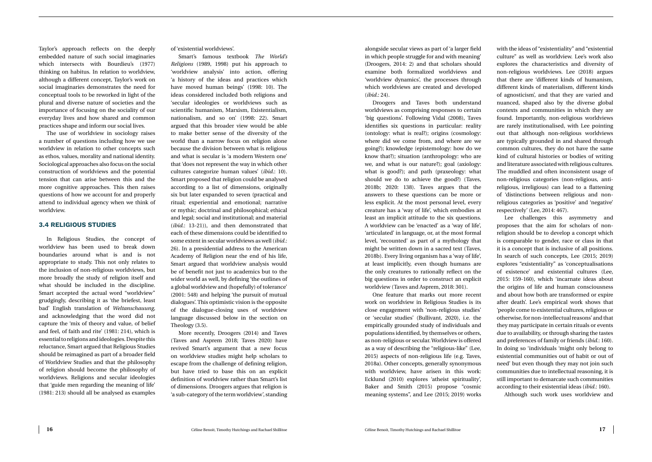alongside secular views as part of 'a larger field in which people struggle for and with meaning' (Droogers, 2014: 2) and that scholars should examine both formalized worldviews and 'worldview dynamics', the processes through which worldviews are created and developed (*ibid.*: 24).

Droogers and Taves both understand worldviews as comprising responses to certain 'big questions'. Following Vidal (2008), Taves identifies six questions in particular: reality (ontology: what is real?); origins (cosmology: where did we come from, and where are we going?); knowledge (epistemology: how do we know that?); situation (anthropology: who are we, and what is our nature?); goal (axiology: what is good?); and path (praxeology: what should we do to achieve the good?) (Taves, 2018b; 2020: 138). Taves argues that the answers to these questions can be more or less explicit. At the most personal level, every creature has a 'way of life', which embodies at least an implicit attitude to the six questions. A worldview can be 'enacted' as a 'way of life', 'articulated' in language, or, at the most formal level, 'recounted' as part of a mythology that might be written down in a sacred text (Taves, 2018b). Every living organism has a 'way of life', at least implicitly, even though humans are the only creatures to rationally reflect on the big questions in order to construct an explicit worldview (Taves and Asprem, 2018: 301).

One feature that marks out more recent work on worldview in Religious Studies is its close engagement with 'non-religious studies' or 'secular studies' (Bullivant, 2020), i.e. the empirically grounded study of individuals and populations identified, by themselves or others, as non-religious or secular. Worldview is offered as a way of describing the "religious-like" (Lee, 2015) aspects of non-religious life (e.g. Taves, 2018a). Other concepts, generally synonymous with worldview, have arisen in this work: Ecklund (2010) explores 'atheist spirituality', Baker and Smith (2015) propose "cosmic meaning systems", and Lee (2015; 2019) works

with the ideas of "existentiality" and "existential culture" as well as worldview. Lee's work also explores the characteristics and diversity of non-religious worldviews. Lee (2018) argues that there are 'different kinds of humanism, different kinds of materialism, different kinds of agnosticism', and that they are varied and nuanced, shaped also by the diverse global contexts and communities in which they are found. Importantly, non-religious worldviews are rarely institutionalised, with Lee pointing out that although non-religious worldviews are typically grounded in and shared through common cultures, they do not have the same kind of cultural histories or bodies of writing and literature associated with religious cultures. The muddled and often inconsistent usage of non-religious categories (non-religious, antireligious, irreligious) can lead to a flattening of 'distinctions between religious and nonreligious categories as 'positive' and 'negative' respectively' (Lee, 2014: 467).

Lee challenges this asymmetry and proposes that the aim for scholars of nonreligion should be to develop a concept which is comparable to gender, race or class in that it is a concept that is inclusive of all positions. In search of such concepts, Lee (2015; 2019) explores "existentiality" as 'conceptualisations of existence' and existential cultures (Lee, 2015: 159-160), which 'incarnate ideas about the origins of life and human consciousness and about how both are transformed or expire after death'. Lee's empirical work shows that 'people come to existential cultures, religious or otherwise, for non-intellectual reasons' and that they may participate in certain rituals or events due to availability, or through sharing the tastes and preferences of family or friends (*ibid.*: 160). In doing so 'individuals 'might only belong to existential communities out of habit or out of need' but even though they may not join such communities due to intellectual reasoning, it is still important to demarcate such communities according to their existential ideas (*ibid.*: 160).

Although such work uses worldview and

<span id="page-9-0"></span>Taylor's approach reflects on the deeply embedded nature of such social imaginaries which intersects with Bourdieu's (1977) thinking on habitus. In relation to worldview, although a different concept, Taylor's work on social imaginaries demonstrates the need for conceptual tools to be reworked in light of the plural and diverse nature of societies and the importance of focusing on the sociality of our everyday lives and how shared and common practices shape and inform our social lives.

The use of worldview in sociology raises a number of questions including how we use worldview in relation to other concepts such as ethos, values, morality and national identity. Sociological approaches also focus on the social construction of worldviews and the potential tension that can arise between this and the more cognitive approaches. This then raises questions of how we account for and properly attend to individual agency when we think of worldview.

#### **3.4 RELIGIOUS STUDIES**

In Religious Studies, the concept of worldview has been used to break down boundaries around what is and is not appropriate to study. This not only relates to the inclusion of non-religious worldviews, but more broadly the study of religion itself and what should be included in the discipline. Smart accepted the actual word "worldview" grudgingly, describing it as 'the briefest, least bad' English translation of *Weltanschauung,* and acknowledging that the word did not capture the 'mix of theory and value, of belief and feel, of faith and rite' (1981: 214), which is essential to religions and ideologies. Despite this reluctance, Smart argued that Religious Studies should be reimagined as part of a broader field of Worldview Studies and that the philosophy of religion should become the philosophy of worldviews. Religions and secular ideologies that 'guide men regarding the meaning of life' (1981: 213) should all be analysed as examples

of 'existential worldviews'.

Smart's famous textbook *The World's Religions* (1989, 1998) put his approach to 'worldview analysis' into action, offering 'a history of the ideas and practices which have moved human beings' (1998: 10). The ideas considered included both religions and 'secular ideologies or worldviews such as scientific humanism, Marxism, Existentialism, nationalism, and so on' (1998: 22). Smart argued that this broader view would be able to make better sense of the diversity of the world than a narrow focus on religion alone because the division between what is religious and what is secular is 'a modern Western one' that 'does not represent the way in which other cultures categorize human values' (*ibid.*: 10). Smart proposed that religion could be analysed according to a list of dimensions, originally six but later expanded to seven (practical and ritual; experiential and emotional; narrative or mythic; doctrinal and philosophical; ethical and legal; social and institutional; and material (*ibid.*: 13-21)), and then demonstrated that each of these dimensions could be identified to some extent in secular worldviews as well (*ibid.*: 26). In a presidential address to the American Academy of Religion near the end of his life, Smart argued that worldview analysis would be of benefit not just to academics but to the wider world as well, by defining 'the outlines of a global worldview and (hopefully) of tolerance' (2001: 548) and helping 'the pursuit of mutual dialogues'. This optimistic vision is the opposite of the dialogue-closing uses of worldview language discussed below in the section on Theology (3.5).

More recently, Droogers (2014) and Taves (Taves and Asprem 2018; Taves 2020) have revived Smart's argument that a new focus on worldview studies might help scholars to escape from the challenge of defining religion, but have tried to base this on an explicit definition of worldview rather than Smart's list of dimensions. Droogers argues that religion is 'a sub-category of the term worldview', standing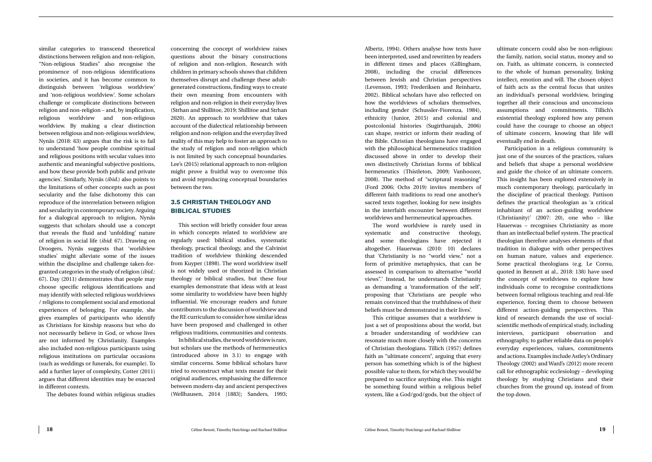Albertz, 1994). Others analyse how texts have been interpreted, used and rewritten by readers in different times and places (Gillingham, 2008), including the crucial differences between Jewish and Christian perspectives (Levenson, 1993; Frederiksen and Reinhartz, 2002). Biblical scholars have also reflected on how the worldviews of scholars themselves, including gender (Schussler-Fiorenza, 1984), ethnicity (Junior, 2015) and colonial and postcolonial histories (Sugirtharajah, 2006) can shape, restrict or inform their reading of the Bible. Christian theologians have engaged with the philosophical hermeneutics tradition discussed above in order to develop their own distinctively Christian forms of biblical hermeneutics (Thistleton, 2009; Vanhoozer, 2008). The method of "scriptural reasoning" (Ford 2006; Ochs 2019) invites members of different faith traditions to read one another's sacred texts together, looking for new insights in the interfaith encounter between different worldviews and hermeneutical approaches.

The word worldview is rarely used in systematic and constructive theology, and some theologians have rejected it altogether. Hauerwas (2010: 10) declares that 'Christianity is no "world view," not a form of primitive metaphysics, that can be assessed in comparison to alternative "world views".' Instead, he understands Christianity as demanding a 'transformation of the self', proposing that 'Christians are people who remain convinced that the truthfulness of their beliefs must be demonstrated in their lives'.

This critique assumes that a worldview is just a set of propositions about the world, but a broader understanding of worldview can resonate much more closely with the concerns of Christian theologians. Tillich (1957) defines faith as "ultimate concern", arguing that every person has something which is of the highest possible value to them, for which they would be prepared to sacrifice anything else. This might be something found within a religious belief system, like a God/god/gods, but the object of ultimate concern could also be non-religious: the family, nation, social status, money and so on. Faith, as ultimate concern, is connected to the whole of human personality, linking intellect, emotion and will. The chosen object of faith acts as the central focus that unites an individual's personal worldview, bringing together all their conscious and unconscious assumptions and commitments. Tillich's existential theology explored how any person could have the courage to choose an object of ultimate concern, knowing that life will eventually end in death.

Participation in a religious community is just one of the sources of the practices, values and beliefs that shape a personal worldview and guide the choice of an ultimate concern. This insight has been explored extensively in much contemporary theology, particularly in the discipline of practical theology. Pattison defines the practical theologian as 'a critical inhabitant of an action-guiding worldview (Christianity)' (2007: 20), one who – like Hauerwas – recognises Christianity as more than an intellectual belief system. The practical theologian therefore analyses elements of that tradition in dialogue with other perspectives on human nature, values and experience. Some practical theologians (e.g. Le Cornu, quoted in Bennett at al., 2018: 138) have used the concept of worldviews to explore how individuals come to recognise contradictions between formal religious teaching and real-life experience, forcing them to choose between different action-guiding perspectives. This kind of research demands the use of socialscientific methods of empirical study, including interviews, participant observation and ethnography, to gather reliable data on people's everyday experiences, values, commitments and actions. Examples include Astley's Ordinary Theology (2002) and Ward's (2012) more recent call for ethnographic ecclesiology – developing theology by studying Christians and their churches from the ground up, instead of from the top down.

<span id="page-10-0"></span>similar categories to transcend theoretical distinctions between religion and non-religion, "Non-religious Studies" also recognise the prominence of non-religious identifications in societies, and it has become common to distinguish between 'religious worldview' and 'non-religious worldview'. Some scholars challenge or complicate distinctions between religion and non-religion – and, by implication, religious worldview and non-religious worldview. By making a clear distinction between religious and non-religious worldview, Nynäs (2018: 63) argues that the risk is to fail to understand 'how people combine spiritual and religious positions with secular values into authentic and meaningful subjective positions, and how these provide both public and private agencies'. Similarly, Nynäs (*ibid.*) also points to the limitations of other concepts such as post secularity and the false dichotomy this can reproduce of the interrelation between religion and secularity in contemporary society. Arguing for a dialogical approach to religion, Nynäs suggests that scholars should use a concept that reveals the fluid and 'unfolding' nature of religion in social life (*ibid*: 67). Drawing on Droogers, Nynäs suggests that 'worldview studies' might alleviate some of the issues within the discipline and challenge taken-forgranted categories in the study of religion (*ibid.*: 67). Day (2011) demonstrates that people may choose specific religious identifications and may identify with selected religious worldviews / religions to complement social and emotional experiences of belonging. For example, she gives examples of participants who identify as Christians for kinship reasons but who do not necessarily believe in God, or whose lives are not informed by Christianity. Examples also included non-religious participants using religious institutions on particular occasions (such as weddings or funerals, for example). To add a further layer of complexity, Cotter (2011) argues that different identities may be enacted in different contexts.

The debates found within religious studies

concerning the concept of worldview raises questions about the binary constructions of religion and non-religion. Research with children in primary schools shows that children themselves disrupt and challenge these adultgenerated constructions, finding ways to create their own meaning from encounters with religion and non-religion in their everyday lives (Strhan and Shillitoe, 2019; Shillitoe and Strhan 2020). An approach to worldview that takes account of the dialectical relationship between religion and non-religion and the everyday lived reality of this may help to foster an approach to the study of religion and non-religion which is not limited by such conceptual boundaries. Lee's (2015) relational approach to non-religion might prove a fruitful way to overcome this and avoid reproducing conceptual boundaries between the two.

#### **3.5 CHRISTIAN THEOLOGY AND BIBLICAL STUDIES**

This section will briefly consider four areas in which concepts related to worldview are regularly used: biblical studies, systematic theology, practical theology, and the Calvinist tradition of worldview thinking descended from Kuyper (1898). The word worldview itself is not widely used or theorized in Christian theology or biblical studies, but these four examples demonstrate that ideas with at least some similarity to worldview have been highly influential. We encourage readers and future contributors to the discussion of worldview and the RE curriculum to consider how similar ideas have been proposed and challenged in other religious traditions, communities and contexts.

In biblical studies, the word worldview is rare, but scholars use the methods of hermeneutics (introduced above in 3.1) to engage with similar concerns. Some biblical scholars have tried to reconstruct what texts meant for their original audiences, emphasising the difference between modern-day and ancient perspectives (Wellhausen, 2014 [1883]; Sanders, 1993;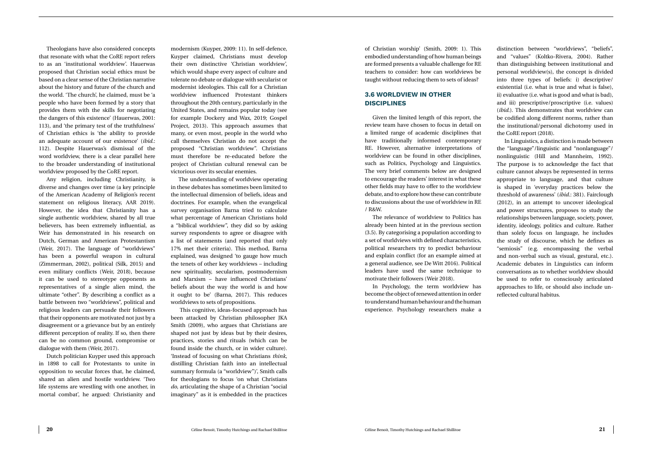of Christian worship' (Smith, 2009: 1). This embodied understanding of how human beings are formed presents a valuable challenge for RE teachers to consider: how can worldviews be taught without reducing them to sets of ideas?

#### **3.6 WORLDVIEW IN OTHER DISCIPLINES**

Given the limited length of this report, the review team have chosen to focus in detail on a limited range of academic disciplines that have traditionally informed contemporary RE. However, alternative interpretations of worldview can be found in other disciplines, such as Politics, Psychology and Linguistics. The very brief comments below are designed to encourage the readers' interest in what these other fields may have to offer to the worldview debate, and to explore how these can contribute to discussions about the use of worldview in RE / R&W.

The relevance of worldview to Politics has already been hinted at in the previous section (3.5). By categorising a population according to a set of worldviews with defined characteristics, political researchers try to predict behaviour and explain conflict (for an example aimed at a general audience, see De Witt 2016). Political leaders have used the same technique to motivate their followers (Weir 2018).

In Psychology, the term worldview has become the object of renewed attention in order to understand human behaviour and the human experience. Psychology researchers make a distinction between "worldviews", "beliefs", and "values" (Koltko-Rivera, 2004). Rather than distinguishing between institutional and personal worldview(s), the concept is divided into three types of beliefs: i) descriptive/ existential (i.e. what is true and what is false), ii) evaluative (i.e. what is good and what is bad), and iii) prescriptive/proscriptive (i.e. values) (*ibid.*). This demonstrates that worldview can be codified along different norms, rather than the institutional/personal dichotomy used in the CoRE report (2018).

In Linguistics, a distinction is made between the "language"/linguistic and "nonlanguage"/ nonlinguistic (Hill and Mannheim, 1992). The purpose is to acknowledge the fact that culture cannot always be represented in terms appropriate to language, and that culture is shaped in 'everyday practices below the threshold of awareness' (*ibid.*: 381). Fairclough (2012), in an attempt to uncover ideological and power structures, proposes to study the relationships between language, society, power, identity, ideology, politics and culture. Rather than solely focus on language, he includes the study of discourse, which he defines as "semiosis" (e.g. encompassing the verbal and non-verbal such as visual, gestural, etc.). Academic debates in Linguistics can inform conversations as to whether worldview should be used to refer to consciously articulated approaches to life, or should also include unreflected cultural habitus.

<span id="page-11-0"></span>Theologians have also considered concepts that resonate with what the CoRE report refers to as an 'institutional worldview'. Hauerwas proposed that Christian social ethics must be based on a clear sense of the Christian narrative about the history and future of the church and the world. 'The church', he claimed, must be 'a people who have been formed by a story that provides them with the skills for negotiating the dangers of this existence' (Hauerwas, 2001: 113), and 'the primary test of the truthfulness' of Christian ethics is 'the ability to provide an adequate account of our existence' (*ibid.*: 112). Despite Hauerwas's dismissal of the word worldview, there is a clear parallel here to the broader understanding of institutional worldview proposed by the CoRE report.

Any religion, including Christianity, is diverse and changes over time (a key principle of the American Academy of Religion's recent statement on religious literacy, AAR 2019). However, the idea that Christianity has a single authentic worldview, shared by all true believers, has been extremely influential, as Weir has demonstrated in his research on Dutch, German and American Protestantism (Weir, 2017). The language of "worldviews" has been a powerful weapon in cultural (Zimmerman, 2002), political (Silk, 2015) and even military conflicts (Weir, 2018), because it can be used to stereotype opponents as representatives of a single alien mind, the ultimate "other". By describing a conflict as a battle between two "worldviews", political and religious leaders can persuade their followers that their opponents are motivated not just by a disagreement or a grievance but by an entirely different perception of reality. If so, then there can be no common ground, compromise or dialogue with them (Weir, 2017).

Dutch politician Kuyper used this approach in 1898 to call for Protestants to unite in opposition to secular forces that, he claimed, shared an alien and hostile worldview. 'Two life systems are wrestling with one another, in mortal combat', he argued: Christianity and

modernism (Kuyper, 2009: 11). In self-defence, Kuyper claimed, Christians must develop their own distinctive 'Christian worldview', which would shape every aspect of culture and tolerate no debate or dialogue with secularist or modernist ideologies. This call for a Christian worldview influenced Protestant thinkers throughout the 20th century, particularly in the United States, and remains popular today (see for example Dockery and Wax, 2019; Gospel Project, 2013). This approach assumes that many, or even most, people in the world who call themselves Christian do not accept the proposed "Christian worldview". Christians must therefore be re-educated before the project of Christian cultural renewal can be victorious over its secular enemies.

The understanding of worldview operating in these debates has sometimes been limited to the intellectual dimension of beliefs, ideas and doctrines. For example, when the evangelical survey organisation Barna tried to calculate what percentage of American Christians hold a "biblical worldview", they did so by asking survey respondents to agree or disagree with a list of statements (and reported that only 17% met their criteria). This method, Barna explained, was designed 'to gauge how much the tenets of other key worldviews – including new spirituality, secularism, postmodernism and Marxism – have influenced Christians' beliefs about the way the world is and how it ought to be' (Barna, 2017). This reduces worldviews to sets of propositions.

 This cognitive, ideas-focused approach has been attacked by Christian philosopher JKA Smith (2009), who argues that Christians are shaped not just by ideas but by their desires, practices, stories and rituals (which can be found inside the church, or in wider culture). 'Instead of focusing on what Christians *think*, distilling Christian faith into an intellectual summary formula (a "worldview")', Smith calls for theologians to focus 'on what Christians *do*, articulating the shape of a Christian "social imaginary" as it is embedded in the practices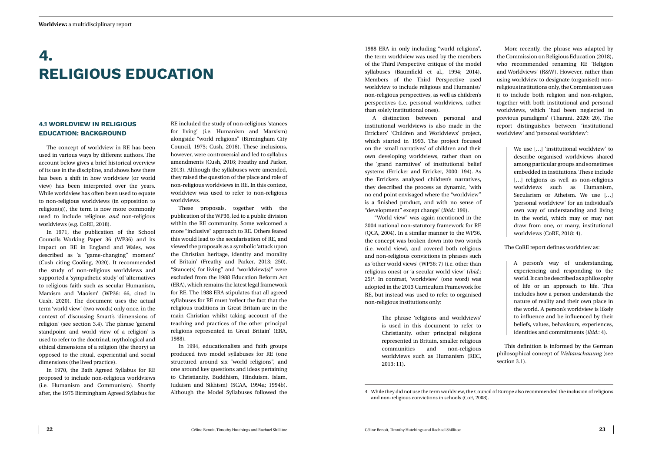1988 ERA in only including "world religions", the term worldview was used by the members of the Third Perspective critique of the model syllabuses (Baumfield et al., 1994; 2014). Members of the Third Perspective used worldview to include religious and Humanist/ non-religious perspectives, as well as children's perspectives (i.e. personal worldviews, rather than solely institutional ones).

A distinction between personal and institutional worldviews is also made in the Errickers' 'Children and Worldviews' project, which started in 1993. The project focused on the 'small narratives' of children and their own developing worldviews, rather than on the 'grand narratives' of institutional belief systems (Erricker and Erricker, 2000: 194). As the Errickers analysed children's narratives, they described the process as dynamic, 'with no end point envisaged where the "worldview" is a finished product, and with no sense of "development" except change' (*ibid.*: 199).

 "World view" was again mentioned in the 2004 national non-statutory framework for RE (QCA, 2004). In a similar manner to the WP36, the concept was broken down into two words (i.e. world view), and covered both religious and non-religious convictions in phrases such as 'other world views' (WP36: 7) (i.e. other than religious ones) or 'a secular world view' (*ibid.*: 25)4 . In contrast, 'worldview' (one word) was adopted in the 2013 Curriculum Framework for RE, but instead was used to refer to organised non-religious institutions only:

We use [...] 'institutional worldview' to describe organised worldviews shared among particular groups and sometimes embedded in institutions. These include [...] religions as well as non-religious worldviews such as Humanism, Secularism or Atheism. We use […] 'personal worldview' for an individual's own way of understanding and living in the world, which may or may not draw from one, or many, institutional worldviews (CoRE, 2018: 4).

The phrase 'religions and worldviews' is used in this document to refer to Christianity, other principal religions represented in Britain, smaller religious communities and non-religious worldviews such as Humanism (REC, 2013: 11).

More recently, the phrase was adapted by the Commission on Religious Education (2018), who recommended renaming RE 'Religion and Worldviews' (R&W). However, rather than using worldview to designate (organised) nonreligious institutions only, the Commission uses it to include both religion and non-religion, together with both institutional and personal worldviews, which 'had been neglected in previous paradigms' (Tharani, 2020: 20). The report distinguishes between 'institutional worldview' and 'personal worldview':

The CoRE report defines worldview as:

A person's way of understanding, experiencing and responding to the world. It can be described as a philosophy of life or an approach to life. This includes how a person understands the nature of reality and their own place in the world. A person's worldview is likely to influence and be influenced by their beliefs, values, behaviours, experiences, identities and commitments (*ibid.*: 4).

This definition is informed by the German philosophical concept of *Weltanschauung* (see section 3.1).

## <span id="page-12-0"></span>**4. RELIGIOUS EDUCATION**

#### **4.1 WORLDVIEW IN RELIGIOUS EDUCATION: BACKGROUND**

The concept of worldview in RE has been used in various ways by different authors. The account below gives a brief historical overview of its use in the discipline, and shows how there has been a shift in how worldview (or world view) has been interpreted over the years. While worldview has often been used to equate to non-religious worldviews (in opposition to religion(s)), the term is now more commonly used to include religious *and* non-religious worldviews (e.g. CoRE, 2018).

In 1971, the publication of the School Councils Working Paper 36 (WP36) and its impact on RE in England and Wales, was described as 'a "game-changing" moment' (Cush citing Cooling, 2020). It recommended the study of non-religious worldviews and supported a 'sympathetic study' of 'alternatives to religious faith such as secular Humanism, Marxism and Maoism' (WP36: 66, cited in Cush, 2020). The document uses the actual term 'world view' (two words) only once, in the context of discussing Smart's 'dimensions of religion' (see section 3.4). The phrase 'general standpoint and world view of a religion' is used to refer to the doctrinal, mythological and ethical dimensions of a religion (the theory) as opposed to the ritual, experiential and social dimensions (the lived practice).

In 1970, the Bath Agreed Syllabus for RE proposed to include non-religious worldviews (i.e. Humanism and Communism). Shortly after, the 1975 Birmingham Agreed Syllabus for RE included the study of non-religious 'stances for living' (i.e. Humanism and Marxism) alongside "world religions" (Birmingham City Council, 1975; Cush, 2016). These inclusions, however, were controversial and led to syllabus amendments (Cush, 2016; Freathy and Parker, 2013). Although the syllabuses were amended, they raised the question of the place and role of non-religious worldviews in RE. In this context, worldview was used to refer to non-religious worldviews.

These proposals, together with the publication of the WP36, led to a public division within the RE community. Some welcomed a more "inclusive" approach to RE. Others feared this would lead to the secularisation of RE, and viewed the proposals as a symbolic 'attack upon the Christian heritage, identity and morality of Britain' (Freathy and Parker, 2013: 250). "Stance(s) for living" and "worldview(s)" were excluded from the 1988 Education Reform Act (ERA), which remains the latest legal framework for RE. The 1988 ERA stipulates that all agreed syllabuses for RE must 'reflect the fact that the religious traditions in Great Britain are in the main Christian whilst taking account of the teaching and practices of the other principal religions represented in Great Britain' (ERA, 1988).

In 1994, educationalists and faith groups produced two model syllabuses for RE (one structured around six "world religions", and one around key questions and ideas pertaining to Christianity, Buddhism, Hinduism, Islam, Judaism and Sikhism) (SCAA, 1994a; 1994b). Although the Model Syllabuses followed the

<sup>4</sup> While they did not use the term worldview, the Council of Europe also recommended the inclusion of religions and non-religious convictions in schools (CoE, 2008).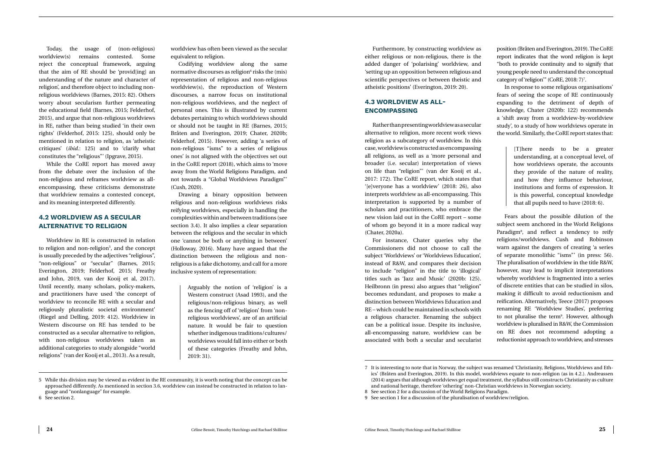Furthermore, by constructing worldview as either religious or non-religious, there is the added danger of 'polarising' worldview, and 'setting up an opposition between religious and scientific perspectives or between theistic and atheistic positions' (Everington, 2019: 20).

#### **4.3 WORLDVIEW AS ALL-ENCOMPASSING**

Rather than presenting worldview as a secular alternative to religion, more recent work views religion as a subcategory of worldview. In this case, worldview is constructed as encompassing all religions, as well as a 'more personal and broader (i.e. secular) interpretation of views on life than "religion"' (van der Kooij et al*.*, 2017: 172). The CoRE report, which states that '[e]veryone has a worldview' (2018: 26), also interprets worldview as all-encompassing. This interpretation is supported by a number of scholars and practitioners, who embrace the new vision laid out in the CoRE report – some of whom go beyond it in a more radical way (Chater, 2020a).

position (Bråten and Everington, 2019). The CoRE report indicates that the word religion is kept "both to provide continuity and to signify that young people need to understand the conceptual category of 'religion'" (CoRE, 2018: 7)<sup>7</sup>.

For instance, Chater queries why the Commissioners did not choose to call the subject 'Worldviews' or 'Worldviews Education', instead of R&W, and compares their decision to include "religion" in the title to 'illogical' titles such as 'Jazz and Music' (2020b: 125). Heilbronn (in press) also argues that "religion" becomes redundant, and proposes to make a distinction between Worldviews Education and RE – which could be maintained in schools with a religious character. Renaming the subject can be a political issue. Despite its inclusive, all-encompassing nature, worldview can be associated with both a secular and secularist

In response to some religious organisations' fears of seeing the scope of RE continuously expanding to the detriment of depth of knowledge, Chater (2020b: 122) recommends a 'shift away from a worldview-by-worldview study', to a study of how worldviews operate in the world. Similarly, the CoRE report states that:

> [T]here needs to be a greater understanding, at a conceptual level, of how worldviews operate, the accounts they provide of the nature of reality, and how they influence behaviour, institutions and forms of expression. It is this powerful, conceptual knowledge that all pupils need to have (2018: 6).

Fears about the possible dilution of the subject seem anchored in the World Religions Paradigm<sup>8</sup>, and reflect a tendency to reify religions/worldviews. Cush and Robinson warn against the dangers of creating 'a series of separate monolithic "isms"' (in press: 56). The pluralisation of worldview in the title R&W, however, may lead to implicit interpretations whereby worldview is fragmented into a series of discrete entities that can be studied in silos, making it difficult to avoid reductionism and reification. Alternatively, Teece (2017) proposes renaming RE 'Worldview Studies', preferring to not pluralise the term<sup>9</sup>. However, although worldview is pluralised in R&W, the Commission on RE does not recommend adopting a reductionist approach to worldview, and stresses

<span id="page-13-0"></span>Today, the usage of (non-religious) worldview(s) remains contested. Some reject the conceptual framework, arguing that the aim of RE should be 'provid[ing] an understanding of the nature and character of religion', and therefore object to including nonreligious worldviews (Barnes, 2015: 82). Others worry about secularism further permeating the educational field (Barnes, 2015; Felderhof, 2015), and argue that non-religious worldviews in RE, rather than being studied 'in their own rights' (Felderhof, 2015: 125), should only be mentioned in relation to religion, as 'atheistic critiques' (*ibid.*: 125) and to 'clarify what constitutes the "religious"' (Ipgrave, 2015).

While the CoRE report has moved away from the debate over the inclusion of the non-religious and reframes worldview as allencompassing, these criticisms demonstrate that worldview remains a contested concept, and its meaning interpreted differently.

#### **4.2 WORLDVIEW AS A SECULAR ALTERNATIVE TO RELIGION**

Worldview in RE is constructed in relation to religion and non-religion<sup>5</sup>, and the concept is usually preceded by the adjectives "religious", "non-religious" or "secular" (Barnes, 2015; Everington, 2019; Felderhof, 2015; Freathy and John, 2019, van der Kooij et al, 2017). Until recently, many scholars, policy-makers, and practitioners have used 'the concept of worldview to reconcile RE with a secular and religiously pluralistic societal environment' (Riegel and Delling, 2019: 412). Worldview in Western discourse on RE has tended to be constructed as a secular alternative to religion, with non-religious worldviews taken as additional categories to study alongside "world religions" (van der Kooij et al., 2013). As a result,

worldview has often been viewed as the secular equivalent to religion.

Codifying worldview along the same normative discourses as religion<sup>6</sup> risks the (mis) representation of religious and non-religious worldview(s), the reproduction of Western discourses, a narrow focus on institutional non-religious worldviews, and the neglect of personal ones. This is illustrated by current debates pertaining to which worldviews should or should not be taught in RE (Barnes, 2015; Bråten and Everington, 2019; Chater, 2020b; Felderhof, 2015). However, adding 'a series of non-religious "isms" to a series of religious ones' is not aligned with the objectives set out in the CoRE report (2018), which aims to 'move away from the World Religions Paradigm, and not towards a "Global Worldviews Paradigm"' (Cush, 2020).

Drawing a binary opposition between religious and non-religious worldviews risks reifying worldviews, especially in handling the complexities within and between traditions (see section 3.4). It also implies a clear separation between the religious and the secular in which one 'cannot be both or anything in between' (Holloway, 2016). Many have argued that the distinction between the religious and nonreligious is a fake dichotomy, and call for a more inclusive system of representation:

> Arguably the notion of 'religion' is a Western construct (Asad 1993), and the religious/non-religious binary, as well as the fencing off of 'religion' from 'nonreligious worldviews', are of an artificial nature. It would be fair to question whether indigenous traditions/cultures/ worldviews would fall into either or both of these categories (Freathy and John, 2019: 31).

<sup>7</sup> It is interesting to note that in Norway, the subject was renamed 'Christianity, Religions, Worldviews and Ethics' (Bråten and Everington, 2019). In this model, worldviews equate to non-religion (as in 4.2.). Andreassen (2014) argues that although worldviews get equal treatment, the syllabus still constructs Christianity as culture and national heritage, therefore 'othering' non-Christian worldviews in Norwegian society. 8 See section 2 for a discussion of the World Religions Paradigm.

<sup>9</sup> See section 1 for a discussion of the pluralisation of worldview/religion.

<sup>5</sup> While this division may be viewed as evident in the RE community, it is worth noting that the concept can be approached differently. As mentioned in section 3.6, worldview can instead be constructed in relation to language and "nonlanguage" for example.

<sup>6</sup> See section 2.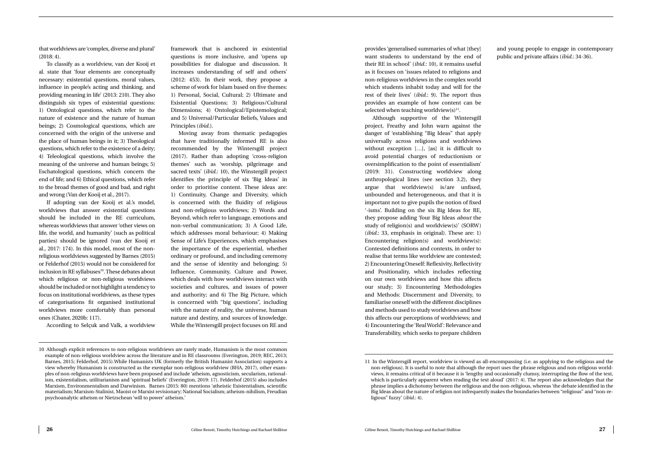provides 'generalised summaries of what [they] want students to understand by the end of their RE in school' (*ibid.*: 10), it remains useful as it focuses on 'issues related to religions and non-religious worldviews in the complex world which students inhabit today and will for the rest of their lives' (*ibid.*: 9). The report thus provides an example of how content can be selected when teaching worldview $(s)^{11}$ .

Although supportive of the Wintersgill project, Freathy and John warn against the danger of 'establishing "Big Ideas" that apply universally across religions and worldviews without exception [...], [as] it is difficult to avoid potential charges of reductionism or oversimplification to the point of essentialism' (2019: 31). Constructing worldview along anthropological lines (see section 3.2), they argue that worldview(s) is/are unfixed, unbounded and heterogeneous, and that it is important not to give pupils the notion of fixed '-isms'. Building on the six Big Ideas for RE, they propose adding 'four Big Ideas *about* the study of religion(s) and worldview(s)' (SORW) (*ibid.*: 33, emphasis in original). These are: 1) Encountering religion(s) and worldview(s): Contested definitions and contexts, in order to realise that terms like worldview are contested; 2) Encountering Oneself: Reflexivity, Reflectivity and Positionality, which includes reflecting on our own worldviews and how this affects our study; 3) Encountering Methodologies and Methods: Discernment and Diversity, to familiarise oneself with the different disciplines and methods used to study worldviews and how this affects our perceptions of worldviews; and 4) Encountering the 'Real World': Relevance and Transferability, which seeks to prepare children

and young people to engage in contemporary public and private affairs (*ibid.*: 34-36).

that worldviews are 'complex, diverse and plural' (2018: 4).

To classify as a worldview, van der Kooij et al. state that 'four elements are conceptually necessary: existential questions, moral values, influence in people's acting and thinking, and providing meaning in life' (2013: 210). They also distinguish six types of existential questions: 1) Ontological questions, which refer to the nature of existence and the nature of human beings; 2) Cosmological questions, which are concerned with the origin of the universe and the place of human beings in it; 3) Theological questions, which refer to the existence of a deity; 4) Teleological questions, which involve the meaning of the universe and human beings; 5) Eschatological questions, which concern the end of life; and 6) Ethical questions, which refer to the broad themes of good and bad, and right and wrong (Van der Kooij et al., 2017).

If adopting van der Kooij et al.'s model, worldviews that answer existential questions should be included in the RE curriculum, whereas worldviews that answer 'other views on life, the world, and humanity' (such as political parties) should be ignored (van der Kooij et al., 2017: 174). In this model, most of the nonreligious worldviews suggested by Barnes (2015) or Felderhof (2015) would not be considered for inclusion in RE syllabuses<sup>10</sup>. These debates about which religious or non-religious worldviews should be included or not highlight a tendency to focus on institutional worldviews, as these types of categorisations fit organised institutional worldviews more comfortably than personal ones (Chater, 2020b: 117).

According to Selçuk and Valk, a worldview

framework that is anchored in existential questions is more inclusive, and 'opens up possibilities for dialogue and discussion. It increases understanding of self and others' (2012: 453). In their work, they propose a scheme of work for Islam based on five themes: 1) Personal, Social, Cultural; 2) Ultimate and Existential Questions; 3) Religious/Cultural Dimensions; 4) Ontological/Epistemological; and 5) Universal/Particular Beliefs, Values and Principles (*ibid.*).

Moving away from thematic pedagogies that have traditionally informed RE is also recommended by the Wintersgill project (2017). Rather than adopting 'cross-religion themes' such as 'worship, pilgrimage and sacred texts' (*ibid.*: 10), the Winstergill project identifies the principle of six 'Big Ideas' in order to prioritise content. These ideas are: 1) Continuity, Change and Diversity, which is concerned with the fluidity of religious and non-religious worldviews; 2) Words and Beyond, which refer to language, emotions and non-verbal communication; 3) A Good Life, which addresses moral behaviour; 4) Making Sense of Life's Experiences, which emphasises the importance of the experiential, whether ordinary or profound, and including ceremony and the sense of identity and belonging; 5) Influence, Community, Culture and Power, which deals with how worldviews interact with societies and cultures, and issues of power and authority; and 6) The Big Picture, which is concerned with "big questions", including with the nature of reality, the universe, human nature and destiny, and sources of knowledge. While the Wintersgill project focuses on RE and

<sup>11</sup> In the Wintersgill report, worldview is viewed as all-encompassing (i.e. as applying to the religious and the non-religious). It is useful to note that although the report uses the phrase religious and non-religious worldviews, it remains critical of it because it is 'lengthy and occasionally clumsy, interrupting the flow of the text, which is particularly apparent when reading the text aloud' (2017: 4). The report also acknowledges that the phrase implies a dichotomy between the religious and the non-religious, whereas 'the debate identified in the Big Ideas about the nature of religion not infrequently makes the boundaries between "religious" and "non-religious" fuzzy' (*ibid.*: 4).

<sup>10</sup> Although explicit references to non-religious worldviews are rarely made, Humanism is the most common example of non-religious worldview across the literature and in RE classrooms (Everington, 2019; REC, 2013; Barnes, 2015; Felderhof, 2015).While Humanists UK (formerly the British Humanist Association) supports a view whereby Humanism is constructed as the exemplar non-religious worldview (BHA, 2017), other examples of non-religious worldviews have been proposed and include 'atheism, agnosticism, secularism, rationalism, existentialism, utilitarianism and 'spiritual beliefs' (Everington, 2019: 17). Felderhof (2015) also includes Marxism, Environmentalism and Darwinism. Barnes (2015: 80) mentions 'atheistic Existentialism, scientific materialism; Marxism-Stalinist, Maoist or Marxist revisionary; National Socialism; atheism-nihilism, Freudian psychoanalytic atheism or Nietzschean 'will to power' atheism.'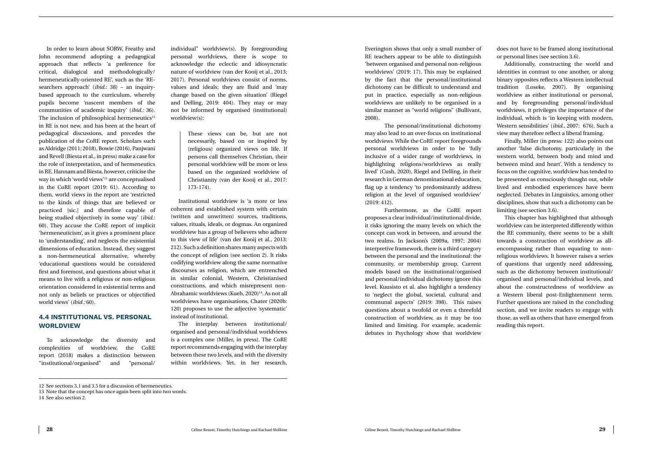Everington shows that only a small number of RE teachers appear to be able to distinguish 'between organised and personal non-religious worldviews' (2019: 17). This may be explained by the fact that the personal/institutional dichotomy can be difficult to understand and put in practice, especially as non-religious worldviews are unlikely to be organised in a similar manner as "world religions" (Bullivant, 2008).

The personal/institutional dichotomy may also lead to an over-focus on institutional worldviews. While the CoRE report foregrounds personal worldviews in order to be 'fully inclusive of a wider range of worldviews, in highlighting religions/worldviews as really lived' (Cush, 2020), Riegel and Delling, in their research in German denominational education, flag up a tendency 'to predominantly address religion at the level of organised worldview' (2019: 412).

Furthermore, as the CoRE report proposes a clear individual/institutional divide, it risks ignoring the many levels on which the concept can work in between, and around the two realms. In Jackson's (2009a, 1997; 2004) interpretive framework, there is a third category between the personal and the institutional: the community, or membership group. Current models based on the institutional/organised and personal/individual dichotomy ignore this level. Kuusisto et al. also highlight a tendency to 'neglect the global, societal, cultural and communal aspects' (2019: 398). This raises questions about a twofold or even a threefold construction of worldview, as it may be too limited and limiting. For example, academic debates in Psychology show that worldview

does not have to be framed along institutional or personal lines (see section 3.6).

Additionally, constructing the world and identities in contrast to one another, or along binary opposites reflects a Western intellectual tradition (Loseke, 2007). By organising worldview as either institutional or personal, and by foregrounding personal/individual worldviews, it privileges the importance of the individual, which is 'in keeping with modern, Western sensibilities' (*ibid.*, 2007: 676). Such a view may therefore reflect a liberal framing.

Finally, Miller (in press: 122) also points out another 'false dichotomy, particularly in the western world, between body and mind and between mind and heart'. With a tendency to focus on the cognitive, worldview has tended to be presented as consciously thought out, while lived and embodied experiences have been neglected. Debates in Linguistics, among other disciplines, show that such a dichotomy can be limiting (see section 3.6).

This chapter has highlighted that although worldview can be interpreted differently within the RE community, there seems to be a shift towards a construction of worldview as allencompassing rather than equating to nonreligious worldviews. It however raises a series of questions that urgently need addressing, such as the dichotomy between institutional/ organised and personal/individual levels, and about the constructedness of worldview as a Western liberal post-Enlightenment term. Further questions are raised in the concluding section, and we invite readers to engage with those, as well as others that have emerged from reading this report.

<span id="page-15-0"></span>In order to learn about SORW, Freathy and John recommend adopting a pedagogical approach that reflects 'a preference for critical, dialogical and methodologically/ hermeneutically-oriented RE', such as the 'REsearchers approach' (*ibid*.: 38) – an inquirybased approach to the curriculum, whereby pupils become 'nascent members of the communities of academic inquiry' (*ibid.:* 36). The inclusion of philosophical hermeneutics $12$ in RE is not new, and has been at the heart of pedagogical discussions, and precedes the publication of the CoRE report. Scholars such as Aldridge (2011; 2018), Bowie (2016), Panjwani and Revell (Biesta et al., in press) make a case for the role of interpretation, and of hermeneutics in RE. Hannam and Biesta, however, criticise the way in which 'world views'13 are conceptualised in the CoRE report (2019: 61). According to them, world views in the report are 'restricted to the kinds of things that are believed or practiced [sic.] and therefore capable of being studied objectively in some way' (*ibid.*: 60). They accuse the CoRE report of implicit 'hermeneuticism', as it gives a prominent place to 'understanding', and neglects the existential dimensions of education. Instead, they suggest a non-hermeneutical alternative, whereby 'educational questions would be considered first and foremost, and questions about what it means to live with a religious or non-religious orientation considered in existential terms and not only as beliefs or practices or objectified world views' (*ibid.:* 60).

#### **4.4 INSTITUTIONAL VS. PERSONAL WORLDVIEW**

To acknowledge the diversity and complexities of worldview, the CoRE report (2018) makes a distinction between "institutional/organised" and "personal/

individual" worldview(s). By foregrounding personal worldviews, there is scope to acknowledge the eclectic and idiosyncratic nature of worldview (van der Kooij et al*.,* 2013; 2017). Personal worldviews consist of norms, values and ideals; they are fluid and 'may change based on the given situation' (Riegel and Delling, 2019: 404). They may or may not be informed by organised (institutional) worldview(s):

> These views can be, but are not necessarily, based on or inspired by (religious) organized views on life. If persons call themselves Christian, their personal worldview will be more or less based on the organized worldview of Christianity (van der Kooij et al*.,* 2017: 173-174).

Institutional worldview is 'a more or less coherent and established system with certain (written and unwritten) sources, traditions, values, rituals, ideals, or dogmas. An organized worldview has a group of believers who adhere to this view of life' (van der Kooij et al., 2013: 212). Such a definition shares many aspects with the concept of religion (see section 2). It risks codifying worldview along the same normative discourses as religion, which are entrenched in similar colonial, Western, Christianised constructions, and which misrepresent non-Abrahamic worldviews (Kueh, 2020)<sup>14</sup>. As not all worldviews have organisations, Chater (2020b: 120) proposes to use the adjective 'systematic' instead of institutional.

The interplay between institutional/ organised and personal/individual worldviews is a complex one (Miller, in press). The CoRE report recommends engaging with the interplay between these two levels, and with the diversity within worldviews. Yet, in her research,

<sup>12</sup> See sections 3.1 and 3.5 for a discussion of hermeneutics.

<sup>13</sup> Note that the concept has once again been split into two words.

<sup>14</sup> See also section 2.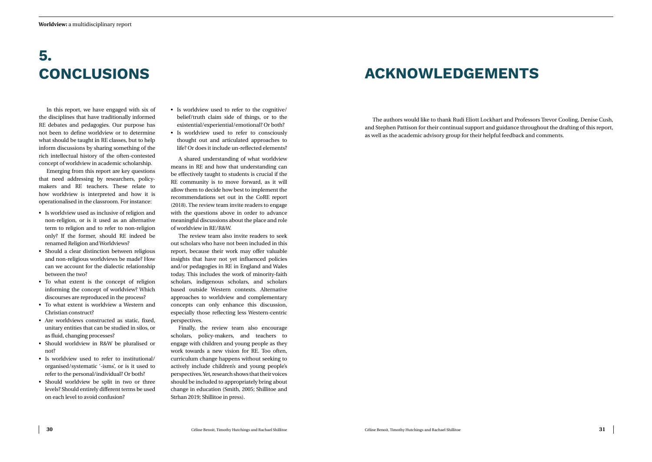# **ACKNOWLEDGEMENTS**

The authors would like to thank Rudi Eliott Lockhart and Professors Trevor Cooling, Denise Cush, and Stephen Pattison for their continual support and guidance throughout the drafting of this report, as well as the academic advisory group for their helpful feedback and comments.

## <span id="page-16-0"></span>**5. CONCLUSIONS**

In this report, we have engaged with six of the disciplines that have traditionally informed RE debates and pedagogies. Our purpose has not been to define worldview or to determine what should be taught in RE classes, but to help inform discussions by sharing something of the rich intellectual history of the often-contested concept of worldview in academic scholarship.

Emerging from this report are key questions that need addressing by researchers, policymakers and RE teachers. These relate to how worldview is interpreted and how it is operationalised in the classroom. For instance:

- Is worldview used as inclusive of religion and non-religion, or is it used as an alternative term to religion and to refer to non-religion only? If the former, should RE indeed be renamed Religion and Worldviews?
- Should a clear distinction between religious and non-religious worldviews be made? How can we account for the dialectic relationship between the two?
- To what extent is the concept of religion informing the concept of worldview? Which discourses are reproduced in the process?
- To what extent is worldview a Western and Christian construct?
- Are worldviews constructed as static, fixed, unitary entities that can be studied in silos, or as fluid, changing processes?
- Should worldview in R&W be pluralised or not?
- Is worldview used to refer to institutional/ organised/systematic '-isms', or is it used to refer to the personal/individual? Or both?
- Should worldview be split in two or three levels? Should entirely different terms be used on each level to avoid confusion?
- Is worldview used to refer to the cognitive/ belief/truth claim side of things, or to the existential/experiential/emotional? Or both?
- Is worldview used to refer to consciously thought out and articulated approaches to life? Or does it include un-reflected elements?

A shared understanding of what worldview means in RE and how that understanding can be effectively taught to students is crucial if the RE community is to move forward, as it will allow them to decide how best to implement the recommendations set out in the CoRE report (2018). The review team invite readers to engage with the questions above in order to advance meaningful discussions about the place and role of worldview in RE/R&W.

The review team also invite readers to seek out scholars who have not been included in this report, because their work may offer valuable insights that have not yet influenced policies and/or pedagogies in RE in England and Wales today. This includes the work of minority-faith scholars, indigenous scholars, and scholars based outside Western contexts. Alternative approaches to worldview and complementary concepts can only enhance this discussion, especially those reflecting less Western-centric perspectives.

Finally, the review team also encourage scholars, policy-makers, and teachers to engage with children and young people as they work towards a new vision for RE. Too often, curriculum change happens without seeking to actively include children's and young people's perspectives. Yet, research shows that their voices should be included to appropriately bring about change in education (Smith, 2005; Shillitoe and Strhan 2019; Shillitoe in press).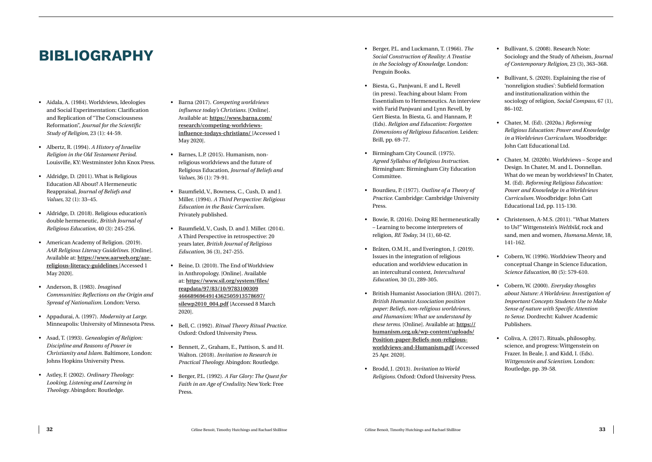- *Social Construction of Reality: A Treatise in the Sociology of Knowledge*. London: Penguin Books.
- Biesta, G., Panjwani, F. and L. Revell (in press). Teaching about Islam: From Essentialism to Hermeneutics. An interview with Farid Panjwani and Lynn Revell, by Gert Biesta. In Biesta, G. and Hannam, P. (Eds). *Religion and Education: Forgotten Dimensions of Religious Education.* Leiden: Brill, pp. 69-77.
- Birmingham City Council. (1975). *Agreed Syllabus of Religious Instruction*. Birmingham: Birmingham City Education Committee.
- Bourdieu, P. (1977). *Outline of a Theory of Practice*. Cambridge: Cambridge University Press.
- Bowie, R. (2016). Doing RE hermeneutically – Learning to become interpreters of religion, *RE Today*, 34 (1), 60-62.
- Bråten, O.M.H., and Everington, J. (2019). Issues in the integration of religious education and worldview education in an intercultural context, *Intercultural Education*, 30 (3), 289-305.
- **32** CEO GRAPHY<br> **32** Céline Benoit, Timothy Hutchings and Rachael Ship in the change of the change of the change of the change of the change of the change of the change of the change of the change of the change of the ch • British Humanist Association (BHA). (2017). *British Humanist Association position paper: Beliefs, non-religious worldviews, and Humanism: What we understand by these terms*. [Online]. Available at: **https:// humanism.org.uk/wp-content/uploads/ Position-paper-Beliefs-non-religiousworldviews-and-Humanism.pdf** [Accessed 25 Apr. 2020].
	- Brodd, J. (2013). *Invitation to World Religions.* Oxford: Oxford University Press.
- Bullivant, S. (2008). Research Note: Sociology and the Study of Atheism, *Journal of Contemporary Religion*, 23 (3), 363–368.
- Bullivant, S. (2020). Explaining the rise of 'nonreligion studies': Subfield formation and institutionalization within the sociology of religion, *Social Compass*, 67 (1), 86–102.
- Chater, M. (Ed). (2020a.) *Reforming Religious Education: Power and Knowledge in a Worldviews Curriculum.* Woodbridge: John Catt Educational Ltd.
- Chater, M. (2020b). Worldviews Scope and Design. In Chater, M. and L. Donnellan. What do we mean by worldviews? In Chater, M. (Ed). *Reforming Religious Education: Power and Knowledge in a Worldviews Curriculum.* Woodbridge: John Catt Educational Ltd, pp. 115-130.
- Christensen, A-M.S. (2011). "What Matters to Us?" Wittgenstein's *Weltbild,* rock and sand, men and women, *Humana.Mente,* 18, 141-162.
- Cobern, W. (1996). Worldview Theory and conceptual Change in Science Education*, Science Education,* 80 (5): 579-610.
- Cobern, W. (2000). *Everyday thoughts about Nature: A Worldview. Investigation of Important Concepts Students Use to Make Sense of nature with Specific Attention to Sense*. Dordrecht: Kulwer Academic Publishers.
- Coliva, A. (2017). Rituals, philosophy, science, and progress: Wittgenstein on Frazer. In Beale, J. and Kidd, I. (Eds). *Wittgenstein and Scientism*. London: Routledge, pp. 39-58.

### <span id="page-17-0"></span>**BIBLIOGRAPHY**

- Aidala, A. (1984). Worldviews, Ideologies and Social Experimentation: Clarification and Replication of "The Consciousness Reformation", *Journal for the Scientific Study of Religion*, 23 (1): 44-59.
- Albertz, R. (1994). *A History of Israelite Religion in the Old Testament Period*. Louisville, KY: Westminster John Knox Press.
- Aldridge, D. (2011). What is Religious Education All About? A Hermeneutic Reappraisal, *Journal of Beliefs and Values,* 32 (1): 33–45.
- Aldridge, D. (2018). Religious education's double hermeneutic, *British Journal of Religious Education,* 40 (3): 245-256.
- American Academy of Religion. (2019). *AAR Religious Literacy Guidelines*. [Online]. Available at: **https://www.aarweb.org/aarreligious-literacy-guidelines** [Accessed 1 May 2020].
- Anderson, B. (1983). *Imagined Communities: Reflections on the Origin and Spread of Nationalism.* London: Verso.
- Appadurai, A. (1997). *Modernity at Large*. Minneapolis: University of Minnesota Press.
- Asad, T. (1993). *Genealogies of Religion: Discipline and Reasons of Power in Christianity and Islam*. Baltimore, London: Johns Hopkins University Press.
- Astley, F. (2002). *Ordinary Theology: Looking, Listening and Learning in Theology.* Abingdon: Routledge.
- Barna (2017). *Competing worldviews influence today's Christians.* [Online]*.*  Available at: **https://www.barna.com/ research/competing-worldviewsinfluence-todays-christians/** [Accessed 1 May 2020].
- Barnes, L.P. (2015). Humanism, nonreligious worldviews and the future of Religious Education, *Journal of Beliefs and Values*, 36 (1): 79-91.
- Baumfield, V., Bowness, C., Cush, D. and J. Miller. (1994). *A Third Perspective: Religious Education in the Basic Curriculum.* Privately published.
- Baumfield, V., Cush, D. and J. Miller. (2014). A Third Perspective in retrospective: 20 years later, *British Journal of Religious Education*, 36 (3), 247-255.
- Beine, D. (2010). The End of Worldview in Anthropology. [Online]. Available at: **https://www.sil.org/system/files/ reapdata/97/83/10/9783100309 4666896964914362505913578697/ silewp2010\_004.pdf** [Accessed 8 March 2020].
- Bell, C. (1992). *Ritual Theory Ritual Practice.*  Oxford: Oxford University Press.
- Bennett, Z., Graham, E., Pattison, S. and H. Walton. (2018). *Invitation to Research in Practical Theology.* Abingdon: Routledge.
- Berger, P.L. (1992). *A Far Glory: The Quest for Faith in an Age of Credulity.* New York: Free Press.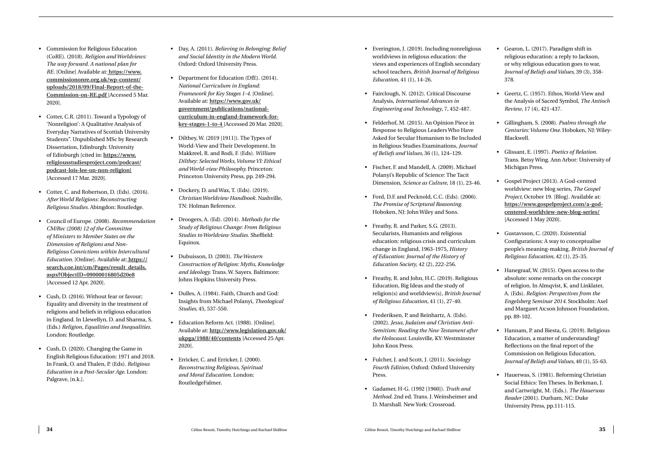- worldviews in religious education: the views and experiences of English secondary school teachers, *British Journal of Religious Education*, 41 (1), 14-26.
- Fairclough, N. (2012). Critical Discourse Analysis, *International Advances in Engineering and Technology*, 7, 452-487.
- Felderhof, M. (2015). An Opinion Piece in Response to Religious Leaders Who Have Asked for Secular Humanism to Be Included in Religious Studies Examinations, *Journal of Beliefs and Values,* 36 (1), 124–129.
- Fischer, F. and Mandell, A. (2009). Michael Polanyi's Republic of Science: The Tacit Dimension, *Science as Culture*, 18 (1), 23-46.
- Ford, D.F. and Pecknold, C.C. (Eds). (2006). *The Promise of Scriptural Reasoning.*  Hoboken, NJ: John Wiley and Sons.
- Freathy, R. and Parker, S.G. (2013). Secularists, Humanists and religious education: religious crisis and curriculum change in England, 1963-1975, *History of Education: Journal of the History of Education Society*, 42 (2), 222-256.
- Freathy, R. and John, H.C. (2019). Religious Education, Big Ideas and the study of religion(s) and worldview(s), *British Journal of Religious Education*, 41 (1), 27-40.
- Frederiksen, P. and Reinhartz, A. (Eds). (2002). *Jesus, Judaism and Christian Anti-Semitism: Reading the New Testament after the Holocaust.* Louisville, KY: Westminster John Knox Press.
- Fulcher, J. and Scott, J. (2011). *Sociology Fourth Edition,* Oxford: Oxford University Press.
- Gadamer, H-G. (1992 [1960]). *Truth and Method*. 2nd ed. Trans. J. Weinsheimer and D. Marshall. New York: Crossroad.
- Gearon, L. (2017). Paradigm shift in religious education: a reply to Jackson, or why religious education goes to war, *Journal of Beliefs and Values*, 39 (3), 358- 378.
- Geertz, C. (1957). Ethos, World-View and the Analysis of Sacred Symbol, *The Antioch Review*, 17 (4), 421-437.
- Gillingham, S. (2008). *Psalms through the Centuries: Volume One.* Hoboken, NJ: Wiley-Blackwell.
- Glissant, E. (1997). *Poetics of Relation.*  Trans. Betsy Wing. Ann Arbor: University of Michigan Press.
- Gospel Project (2013). A God-centred worldview: new blog series, *The Gospel Project,* October 19. [Blog]. Available at: **https://www.gospelproject.com/a-godcentered-worldview-new-blog-series/** [Accessed 1 May 2020].
- Gustavsson, C. (2020). Existential Configurations: A way to conceptualise people's meaning-making, *British Journal of Religious Education*, 42 (1), 25-35.
- Hanegraaf, W. (2015). Open access to the absolute: some remarks on the concept of religion. In Almqvist, K. and Linklater, A. (Eds). *Religion: Perspectives from the Engelsberg Seminar 2014.* Stockholm: Axel and Margaret Ax:son Johnson Foundation, pp. 89-102.
- Hannam, P. and Biesta, G. (2019). Religious Education, a matter of understanding? Reflections on the final report of the Commission on Religious Education, *Journal of Beliefs and Values,* 40 (1), 55-63.
- Hauerwas, S. (1981). Reforming Christian Social Ethics: Ten Theses. In Berkman, J. and Cartwright, M. (Eds.). *The Hauerwas Reader* (2001). Durham, NC: Duke University Press, pp.111-115.
- Commission for Religious Education (CoRE). (2018). *Religion and Worldviews: The way forward. A national plan for RE.* [Online] Available at: **https://www. commissiononre.org.uk/wp-content/ uploads/2018/09/Final-Report-of-the-Commission-on-RE.pdf** [Accessed 5 Mar. 2020].
- Cotter, C.R. (2011). Toward a Typology of 'Nonreligion': A Qualitative Analysis of Everyday Narratives of Scottish University Students". Unpublished MSc by Research Dissertation, Edinburgh: University of Edinburgh [cited in: **https://www. religiousstudiesproject.com/podcast/ podcast-lois-lee-on-non-religion ]** [Accessed 17 Mar. 2020].
- Cotter, C. and Robertson, D. (Eds). (2016). *After World Religions: Reconstructing Religious Studies.* Abingdon: Routledge.
- **<sup>34</sup>** Céline Benoit, Timothy Hutchings and Rachael Shillitoe Céline Benoit, Timothy Hutchings and Rachael Shillitoe **<sup>35</sup>** Everington, J. (2019). Including nonreligious • Council of Europe. (2008). *Recommendation CM/Rec (2008) 12 of the Committee of Ministers to Member States on the Dimension of Religions and Non-Religious Convictions within Intercultural Education.* [Online]. Available at: **https:// search.coe.int/cm/Pages/result\_details. aspx?ObjectID=09000016805d20e8** [Accessed 12 Apr. 2020].
- Cush, D. (2016). Without fear or favour; Equality and diversity in the treatment of religions and beliefs in religious education in England. In Llewellyn, D. and Sharma, S. (Eds.) *Religion, Equalities and Inequalities.* London: Routledge.
- Cush, D. (2020). Changing the Game in English Religious Education: 1971 and 2018. In Frank, O. and Thalen, P. (Eds). *Religious Education in a Post-Secular Age*. London: Palgrave, [n.k.].
- Day, A. (2011). *Believing in Belonging: Belief and Social Identity in the Modern World*. Oxford: Oxford University Press.
- Department for Education (DfE). (2014). *National Curriculum in England: Framework for Key Stages 1-4.* [Online]. Available at: **https://www.gov.uk/ government/publications/nationalcurriculum-in-england-framework-forkey-stages-1-to-4** [Accessed 20 Mar. 2020].
- Dilthey, W. (2019 [1911]). The Types of World-View and Their Development. In Makkreel, R. and Rodi, F. (Eds). *William Dilthey: Selected Works, Volume VI: Ethical and World-view Philosophy.* Princeton: Princeton University Press, pp. 249-294.
- Dockery, D. and Wax, T. (Eds). (2019). *Christian Worldview Handbook.* Nashville, TN: Holman Reference.
- Droogers, A. (Ed). (2014). *Methods for the Study of Religious Change: From Religious Studies to Worldview Studies*. Sheffield: Equinox.
- Dubuisson, D. (2003). *The Western Construction of Religion: Myths, Knowledge and Ideology.* Trans. W. Sayers. Baltimore: Johns Hopkins University Press.
- Dulles, A. (1984). Faith, Church and God: Insights from Michael Polanyi, *Theological Studies,* 45, 537-550.
- Education Reform Act. (1988). [Online]. Available at: **http://www.legislation.gov.uk/ ukpga/1988/40/contents** [Accessed 25 Apr. 2020].
- Erricker, C. and Erricker, J. (2000). *Reconstructing Religious, Spiritual and Moral Education*. London: RoutledgeFalmer.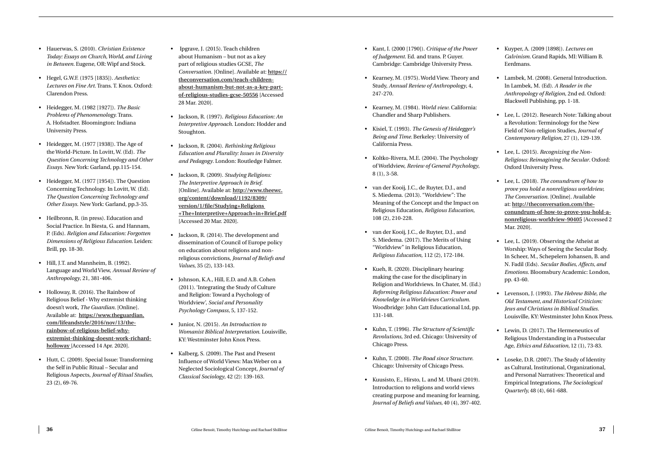- *of Judgement*. Ed. and trans. P. Guyer. Cambridge: Cambridge University Press.
- Kearney, M. (1975). World View. Theory and Study, *Annual Review of Anthropology*, 4, 247-270.
- Kearney, M. (1984). *World view*. California: Chandler and Sharp Publishers.
- Kisiel, T. (1993). *The Genesis of Heidegger's Being and Time.* Berkeley: University of California Press.
- Koltko-Rivera, M.E. (2004). The Psychology of Worldview, *Review of General Psychology*, 8 (1), 3-58.
- van der Kooij, J.C., de Ruyter, D.J., and S. Miedema. (2013). "Worldview": The Meaning of the Concept and the Impact on Religious Education, *Religious Education*, 108 (2), 210-228.
- van der Kooij, J.C., de Ruyter, D.J., and S. Miedema. (2017). The Merits of Using "Worldview" in Religious Education, *Religious Education*, 112 (2), 172-184.
- Kueh, R. (2020). Disciplinary hearing: making the case for the disciplinary in Religion and Worldviews. In Chater, M. (Ed.) *Reforming Religious Education: Power and Knowledge in a Worldviews Curriculum.* Woodbridge: John Catt Educational Ltd, pp. 131-148.
- Kuhn, T. (1996). *The Structure of Scientific Revolutions*, 3rd ed. Chicago: University of Chicago Press.
- Kuhn, T. (2000). *The Road since Structure*. Chicago: University of Chicago Press.
- Kuusisto, E., Hirsto, L. and M. Ubani (2019). Introduction to religions and world views creating purpose and meaning for learning, *Journal of Beliefs and Values,* 40 (4), 397-402.
- Kuyper, A. (2009 [1898]). *Lectures on Calvinism.* Grand Rapids, MI: William B. Eerdmans.
- Lambek, M. (2008). General Introduction. In Lambek, M. (Ed). *A Reader in the Anthropology of Religion*, 2nd ed. Oxford: Blackwell Publishing, pp. 1-18.
- Lee, L. (2012). Research Note: Talking about a Revolution: Terminology for the New Field of Non-religion Studies, *Journal of Contemporary Religion,* 27 (1), 129-139.
- Lee, L. (2015). *Recognizing the Non-Religious: Reimagining the Secular*. Oxford: Oxford University Press.
- Lee, L. (2018). *The conundrum of how to prove you hold a nonreligious worldview, The Conversation.* [Online]. Available at: **http://theconversation.com/theconundrum-of-how-to-prove-you-hold-anonreligious-worldview-90405** [Accessed 2 Mar. 2020].
- Lee, L. (2019). Observing the Atheist at Worship: Ways of Seeing the Secular Body. In Scheer, M., Schepelern Johansen, B. and N. Fadil (Eds). *Secular Bodies, Affects, and Emotions*. Bloomsbury Academic: London, pp. 43-60.
- Levenson, J. (1993). *The Hebrew Bible, the Old Testament, and Historical Criticism: Jews and Christians in Biblical Studies.*  Louisville, KY: Westminster John Knox Press.
- Lewin, D. (2017). The Hermeneutics of Religious Understanding in a Postsecular Age, *Ethics and Education,* 12 (1), 73-83.
- Loseke, D.R. (2007). The Study of Identity as Cultural, Institutional, Organizational, and Personal Narratives: Theoretical and Empirical Integrations, *The Sociological Quarterly,* 48 (4), 661-688.
- Hauerwas, S. (2010). *Christian Existence Today: Essays on Church, World, and Living in Between.* Eugene, OR: Wipf and Stock.
- Hegel, G.W.F. (1975 [1835]). *Aesthetics: Lectures on Fine Art*. Trans. T. Knox. Oxford: Clarendon Press.
- Heidegger, M. (1982 [1927]). *The Basic Problems of Phenomenology.* Trans. A. Hofstadter. Bloomington: Indiana University Press.
- Heidegger, M. (1977 [1938]). The Age of the World-Picture. In Lovitt, W. (Ed). *The Question Concerning Technology and Other Essays*. New York: Garland, pp.115-154.
- Heidegger, M. (1977 [1954]). The Question Concerning Technology. In Lovitt, W. (Ed). *The Question Concerning Technology and Other Essays*. New York: Garland, pp.3-35.
- Heilbronn, R. (in press). Education and Social Practice. In Biesta, G. and Hannam, P. (Eds). *Religion and Education: Forgotten Dimensions of Religious Education.* Leiden: Brill, pp. 18-30.
- Hill, J.T. and Mannheim, B. (1992). Language and World View, *Annual Review of Anthropology*, 21, 381-406.
- Holloway, R. (2016). The Rainbow of Religious Belief - Why extremist thinking doesn't work, *The Guardian.* [Online]. Available at: **https://www.theguardian. com/lifeandstyle/2016/nov/13/therainbow-of-religious-belief-whyextremist-thinking-doesnt-work-richardholloway** [Accessed 14 Apr. 2020].
- Hutt, C. (2009). Special Issue: Transforming the Self in Public Ritual – Secular and Religious Aspects, *Journal of Ritual Studies*, 23 (2), 69-76.
- **Benoit Céline Benoit, Communication and Communication and Celine Benoit Communication and Celine Benoit Communication and Celine Benoit Communication and Celine Benoit Communication and Celine Communication and Celine Co** • Ipgrave, J. (2015). Teach children about Humanism – but not as a key part of religious studies GCSE, *The Conversation*. [Online]. Available at: **https:// theconversation.com/teach-childrenabout-humanism-but-not-as-a-key-partof-religious-studies-gcse-50556** [Accessed 28 Mar. 2020].
	- Jackson, R. (1997). *Religious Education: An Interpretive Approach*. London: Hodder and Stoughton.
	- Jackson, R. (2004). *Rethinking Religious Education and Plurality: Issues in Diversity and Pedagogy*. London: Routledge Falmer.
	- Jackson, R. (2009). *Studying Religions: The Interpretive Approach in Brief.*  [Online]. Available at: **http://www.theewc. org/content/download/1192/8309/ version/1/file/Studying+Religions +The+Interpretive+Approach+in+Brief.pdf** [Accessed 20 Mar. 2020].
	- Jackson, R. (2014). The development and dissemination of Council of Europe policy on education about religions and nonreligious convictions, *Journal of Beliefs and Values*, 35 (2), 133-143.
	- Johnson, K.A., Hill, E.D. and A.B. Cohen (2011). 'Integrating the Study of Culture and Religion: Toward a Psychology of Worldview', *Social and Personality Psychology Compass,* 5, 137-152.
	- Junior, N. (2015). *An Introduction to Womanist Biblical Interpretation*. Louisville, KY: Westminster John Knox Press.
	- Kalberg, S. (2009). The Past and Present Influence of World Views: Max Weber on a Neglected Sociological Concept, *Journal of Classical Sociology*, 42 (2): 139-163.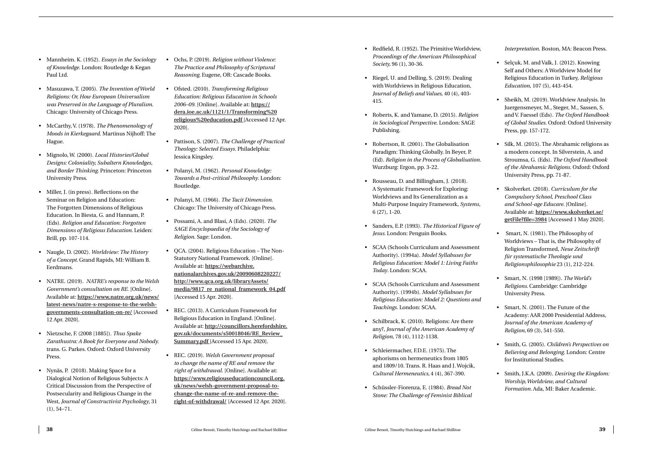- Mannheim. K. (1952). *Essays in the Sociology of Knowledge.* London: Routledge & Kegan Paul Ltd.
- Masuzawa, T. (2005). *The Invention of World Religions: Or, How European Universalism was Preserved in the Language of Pluralism*. Chicago: University of Chicago Press.
- McCarthy, V. (1978). *The Phenomenology of Moods in Kierkegaard*. Martinus Nijhoff: The Hague.
- Mignolo, W. (2000). *Local Histories/Global Designs: Coloniality, Subaltern Knowledges, and Border Thinking.* Princeton: Princeton University Press.
- Miller, J. (in press). Reflections on the Seminar on Religion and Education: The Forgotten Dimensions of Religious Education. In Biesta, G. and Hannam, P. (Eds). *Religion and Education: Forgotten Dimensions of Religious Education.* Leiden: Brill, pp. 107-114.
- Naugle, D. (2002). *Worldview: The History of a Concept.* Grand Rapids, MI: William B. Eerdmans.
- NATRE. (2019). *NATRE's response to the Welsh Government's consultation on RE*. [Online]. Available at: **https://www.natre.org.uk/news/ latest-news/natre-s-response-to-the-welshgovernments-consultation-on-re/** [Accessed 12 Apr. 2020].
- Nietzsche, F. (2008 [1885]). *Thus Spake Zarathustra: A Book for Everyone and Nobody.* trans. G. Parkes. Oxford: Oxford University Press.
- Nyn äs, P. (2018). Making Space for a Dialogical Notion of Religious Subjects: A Critical Discussion from the Perspective of Postsecularity and Religious Change in the West, *Journal of Constructivist Psychology*, 31 (1), 54–71.
- Ochs, P. (2019). *Religion without Violence: The Practice and Philosophy of Scriptural Reasoning.* Eugene, OR: Cascade Books.
- Ofsted. (2010). *Transforming Religious Education: Religious Education in Schools 2006–09*. [Online]. Available at: **https:// dera.ioe.ac.uk/1121/1/Transforming%20 religious%20education.pdf** [Accessed 12 Apr. 2020].
- Pattison, S. (2007). *The Challenge of Practical Theology: Selected Essays*. Philadelphia: Jessica Kingsley.
- Polanyi, M. (1962). *Personal Knowledge: Towards a Post-critical Philosophy*. London: Routledge.
- Polanyi, M. (1966). *The Tacit Dimension.*  Chicago: The University of Chicago Press.
- Possami, A. and Blasi, A (Eds). (2020). *The SAGE Encyclopaedia of the Sociology of Religion*. Sage: London.
- QCA. (2004). Religious Education The Non-Statutory National Framework. [Online]. Available at: **https://webarchive. nationalarchives.gov.uk/20090608220227/ http://www.qca.org.uk/libraryAssets/ media/9817\_re\_national\_framework\_04.pdf** [Accessed 15 Apr. 2020].
- REC. (2013). A Curriculum Framework for Religious Education in England. [Online]. Available at: **http://councillors.herefordshire. gov.uk/documents/s50018046/RE\_Review\_ Summary.pdf** [Accessed 15 Apr. 2020].
- REC. (2019). *Welsh Government proposal to change the name of RE and remove the right of withdrawal*. [Online]. Available at: **https://www.religiouseducationcouncil.org. uk/news/welsh-government-proposal-tochange-the-name-of-re-and-remove-theright-of-withdrawal/** [Accessed 12 Apr. 2020].
- Redfield, R. (1952). The Primitive Worldview, *Proceedings of the American Philosophical Society,* 96 (1), 30-36.
- Riegel, U. and Delling, S. (2019). Dealing with Worldviews in Religious Education, *Journal of Beliefs and Values*, 40 (4), 403- 415.
- Roberts, K. and Yamane, D. (2015). *Religion in Sociological Perspective*. London: SAGE Publishing.
- Robertson, R. (2001). The Globalisation Paradigm: Thinking Globally. In Beyer, P. (Ed). *Religion in the Process of Globalisation*. Wurzburg: Ergon, pp. 3-22.
- Rousseau, D. and Billingham, J. (2018). A Systematic Framework for Exploring: Worldviews and Its Generalization as a Multi-Purpose Inquiry Framework, *Systems,* 6 (27), 1-20.
- Sanders, E.P. (1993). *The Historical Figure of Jesus.* London: Penguin Books.
- SCAA (Schools Curriculum and Assessment Authority). (1994a). *Model Syllabuses for Religious Education: Model 1: Living Faiths Today*. London: SCAA.
- SCAA (Schools Curriculum and Assessment Authority). (1994b). *Model Syllabuses for Religious Education: Model 2: Questions and Teachings.* London: SCAA.
- Schilbrack, K. (2010). Religions: Are there any?, *Journal of the American Academy of Religion*, 78 (4), 1112-1138.
- Schleiermacher, F.D.E. (1975). The aphorisms on hermeneutics from 1805 and 1809/10. Trans. R. Haas and J. Wojcik, *Cultural Hermeneutics,* 4 (4), 367-390.
- Schüssler-Fiorenza, E. (1984). *Bread Not Stone: The Challenge of Feminist Biblical*

*Interpretation*. Boston, MA: Beacon Press.

- Selçuk, M. and Valk, J. (2012). Knowing Self and Others: A Worldview Model for Religious Education in Turkey, *Religious Education*, 107 (5), 443-454.
- Sheikh, M. (2019). Worldview Analysis. In Juergensmeyer, M., Steger, M., Sassen, S. and V. Faessel (Eds). *The Oxford Handbook of Global Studies*. Oxford: Oxford University Press, pp. 157-172.
- Silk, M. (2015). The Abrahamic religions as a modern concept. In Silverstein, A. and Stroumsa, G. (Eds). *The Oxford Handbook of the Abrahamic Religions.* Oxford: Oxford University Press*,* pp. 71-87.
- Skolverket. (2018). *Curriculum for the Compulsory School, Preschool Class and School-age Educare.* [Online]. Available at: **https://www.skolverket.se/ getFile?file=3984** [Accessed 1 May 2020].
- Smart, N. (1981). The Philosophy of Worldviews – That is, the Philosophy of Religion Transformed, *Neue Zeitschrift für systematische Theologie und Religionsphilosophie* 23 (1), 212-224.
- Smart, N. (1998 [1989]). *The World's Religions.* Cambridge: Cambridge University Press.
- Smart, N. (2001). The Future of the Academy: AAR 2000 Presidential Address, *Journal of the American Academy of Religion,* 69 (3), 541-550.
- Smith, G. (2005). *Children's Perspectives on Believing and Belonging*. London: Centre for Institutional Studies.
- Smith, J.K.A. (2009). *Desiring the Kingdom: Worship, Worldview, and Cultural Formation.* Ada, MI: Baker Academic.